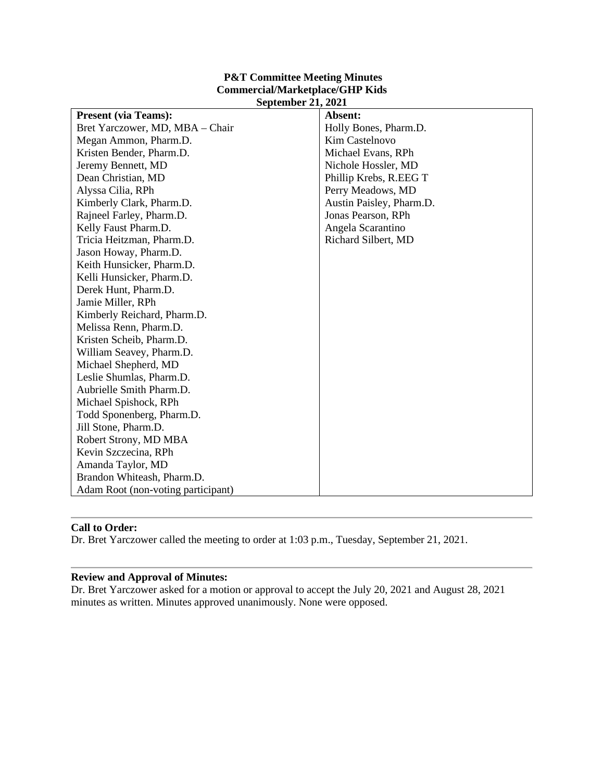| <b>P&amp;T Committee Meeting Minutes</b> |
|------------------------------------------|
| <b>Commercial/Marketplace/GHP Kids</b>   |
| <b>September 21, 2021</b>                |

| <b>Present (via Teams):</b>        | Absent:                  |
|------------------------------------|--------------------------|
| Bret Yarczower, MD, MBA - Chair    | Holly Bones, Pharm.D.    |
| Megan Ammon, Pharm.D.              | <b>Kim Castelnovo</b>    |
| Kristen Bender, Pharm.D.           | Michael Evans, RPh       |
| Jeremy Bennett, MD                 | Nichole Hossler, MD      |
| Dean Christian, MD                 | Phillip Krebs, R.EEG T   |
| Alyssa Cilia, RPh                  | Perry Meadows, MD        |
| Kimberly Clark, Pharm.D.           | Austin Paisley, Pharm.D. |
| Rajneel Farley, Pharm.D.           | Jonas Pearson, RPh       |
| Kelly Faust Pharm.D.               | Angela Scarantino        |
| Tricia Heitzman, Pharm.D.          | Richard Silbert, MD      |
| Jason Howay, Pharm.D.              |                          |
| Keith Hunsicker, Pharm.D.          |                          |
| Kelli Hunsicker, Pharm.D.          |                          |
| Derek Hunt, Pharm.D.               |                          |
| Jamie Miller, RPh                  |                          |
| Kimberly Reichard, Pharm.D.        |                          |
| Melissa Renn, Pharm.D.             |                          |
| Kristen Scheib, Pharm.D.           |                          |
| William Seavey, Pharm.D.           |                          |
| Michael Shepherd, MD               |                          |
| Leslie Shumlas, Pharm.D.           |                          |
| Aubrielle Smith Pharm.D.           |                          |
| Michael Spishock, RPh              |                          |
| Todd Sponenberg, Pharm.D.          |                          |
| Jill Stone, Pharm.D.               |                          |
| Robert Strony, MD MBA              |                          |
| Kevin Szczecina, RPh               |                          |
| Amanda Taylor, MD                  |                          |
| Brandon Whiteash, Pharm.D.         |                          |
| Adam Root (non-voting participant) |                          |

### **Call to Order:**

Dr. Bret Yarczower called the meeting to order at 1:03 p.m., Tuesday, September 21, 2021.

#### **Review and Approval of Minutes:**

Dr. Bret Yarczower asked for a motion or approval to accept the July 20, 2021 and August 28, 2021 minutes as written. Minutes approved unanimously. None were opposed.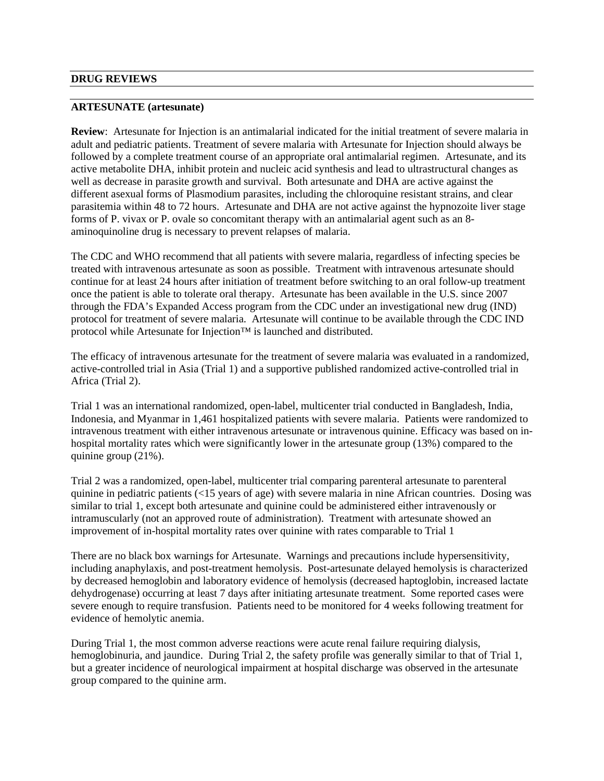#### **ARTESUNATE (artesunate)**

**Review**: Artesunate for Injection is an antimalarial indicated for the initial treatment of severe malaria in adult and pediatric patients. Treatment of severe malaria with Artesunate for Injection should always be followed by a complete treatment course of an appropriate oral antimalarial regimen. Artesunate, and its active metabolite DHA, inhibit protein and nucleic acid synthesis and lead to ultrastructural changes as well as decrease in parasite growth and survival. Both artesunate and DHA are active against the different asexual forms of Plasmodium parasites, including the chloroquine resistant strains, and clear parasitemia within 48 to 72 hours. Artesunate and DHA are not active against the hypnozoite liver stage forms of P. vivax or P. ovale so concomitant therapy with an antimalarial agent such as an 8 aminoquinoline drug is necessary to prevent relapses of malaria.

The CDC and WHO recommend that all patients with severe malaria, regardless of infecting species be treated with intravenous artesunate as soon as possible. Treatment with intravenous artesunate should continue for at least 24 hours after initiation of treatment before switching to an oral follow-up treatment once the patient is able to tolerate oral therapy. Artesunate has been available in the U.S. since 2007 through the FDA's Expanded Access program from the CDC under an investigational new drug (IND) protocol for treatment of severe malaria. Artesunate will continue to be available through the CDC IND protocol while Artesunate for Injection™ is launched and distributed.

The efficacy of intravenous artesunate for the treatment of severe malaria was evaluated in a randomized, active-controlled trial in Asia (Trial 1) and a supportive published randomized active-controlled trial in Africa (Trial 2).

Trial 1 was an international randomized, open-label, multicenter trial conducted in Bangladesh, India, Indonesia, and Myanmar in 1,461 hospitalized patients with severe malaria. Patients were randomized to intravenous treatment with either intravenous artesunate or intravenous quinine. Efficacy was based on inhospital mortality rates which were significantly lower in the artesunate group (13%) compared to the quinine group (21%).

Trial 2 was a randomized, open-label, multicenter trial comparing parenteral artesunate to parenteral quinine in pediatric patients (<15 years of age) with severe malaria in nine African countries. Dosing was similar to trial 1, except both artesunate and quinine could be administered either intravenously or intramuscularly (not an approved route of administration). Treatment with artesunate showed an improvement of in-hospital mortality rates over quinine with rates comparable to Trial 1

There are no black box warnings for Artesunate. Warnings and precautions include hypersensitivity, including anaphylaxis, and post-treatment hemolysis. Post-artesunate delayed hemolysis is characterized by decreased hemoglobin and laboratory evidence of hemolysis (decreased haptoglobin, increased lactate dehydrogenase) occurring at least 7 days after initiating artesunate treatment. Some reported cases were severe enough to require transfusion. Patients need to be monitored for 4 weeks following treatment for evidence of hemolytic anemia.

During Trial 1, the most common adverse reactions were acute renal failure requiring dialysis, hemoglobinuria, and jaundice. During Trial 2, the safety profile was generally similar to that of Trial 1, but a greater incidence of neurological impairment at hospital discharge was observed in the artesunate group compared to the quinine arm.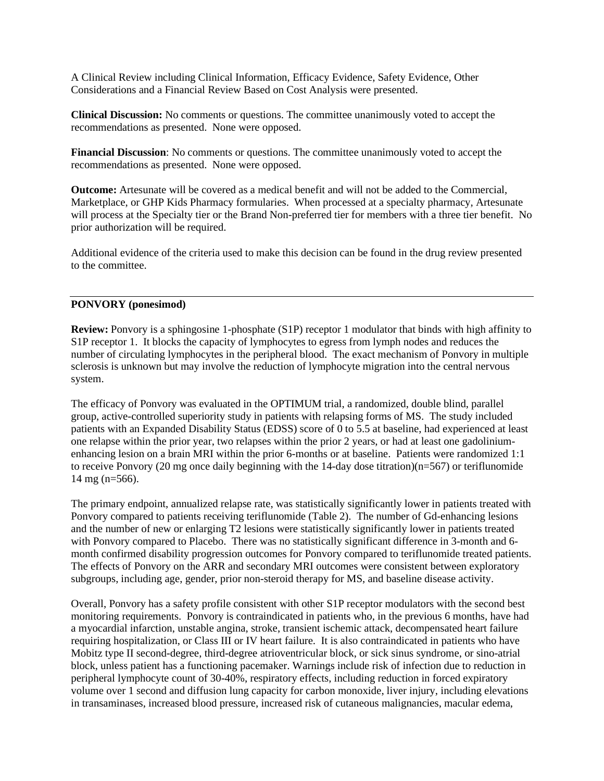A Clinical Review including Clinical Information, Efficacy Evidence, Safety Evidence, Other Considerations and a Financial Review Based on Cost Analysis were presented.

**Clinical Discussion:** No comments or questions. The committee unanimously voted to accept the recommendations as presented. None were opposed.

**Financial Discussion**: No comments or questions. The committee unanimously voted to accept the recommendations as presented. None were opposed.

**Outcome:** Artesunate will be covered as a medical benefit and will not be added to the Commercial, Marketplace, or GHP Kids Pharmacy formularies. When processed at a specialty pharmacy, Artesunate will process at the Specialty tier or the Brand Non-preferred tier for members with a three tier benefit. No prior authorization will be required.

Additional evidence of the criteria used to make this decision can be found in the drug review presented to the committee.

### **PONVORY (ponesimod)**

**Review:** Ponvory is a sphingosine 1-phosphate (S1P) receptor 1 modulator that binds with high affinity to S1P receptor 1. It blocks the capacity of lymphocytes to egress from lymph nodes and reduces the number of circulating lymphocytes in the peripheral blood. The exact mechanism of Ponvory in multiple sclerosis is unknown but may involve the reduction of lymphocyte migration into the central nervous system.

The efficacy of Ponvory was evaluated in the OPTIMUM trial, a randomized, double blind, parallel group, active-controlled superiority study in patients with relapsing forms of MS. The study included patients with an Expanded Disability Status (EDSS) score of 0 to 5.5 at baseline, had experienced at least one relapse within the prior year, two relapses within the prior 2 years, or had at least one gadoliniumenhancing lesion on a brain MRI within the prior 6-months or at baseline. Patients were randomized 1:1 to receive Ponvory (20 mg once daily beginning with the 14-day dose titration)(n=567) or teriflunomide 14 mg (n=566).

The primary endpoint, annualized relapse rate, was statistically significantly lower in patients treated with Ponvory compared to patients receiving teriflunomide (Table 2). The number of Gd-enhancing lesions and the number of new or enlarging T2 lesions were statistically significantly lower in patients treated with Ponvory compared to Placebo. There was no statistically significant difference in 3-month and 6month confirmed disability progression outcomes for Ponvory compared to teriflunomide treated patients. The effects of Ponvory on the ARR and secondary MRI outcomes were consistent between exploratory subgroups, including age, gender, prior non-steroid therapy for MS, and baseline disease activity.

Overall, Ponvory has a safety profile consistent with other S1P receptor modulators with the second best monitoring requirements. Ponvory is contraindicated in patients who, in the previous 6 months, have had a myocardial infarction, unstable angina, stroke, transient ischemic attack, decompensated heart failure requiring hospitalization, or Class III or IV heart failure. It is also contraindicated in patients who have Mobitz type II second-degree, third-degree atrioventricular block, or sick sinus syndrome, or sino-atrial block, unless patient has a functioning pacemaker. Warnings include risk of infection due to reduction in peripheral lymphocyte count of 30-40%, respiratory effects, including reduction in forced expiratory volume over 1 second and diffusion lung capacity for carbon monoxide, liver injury, including elevations in transaminases, increased blood pressure, increased risk of cutaneous malignancies, macular edema,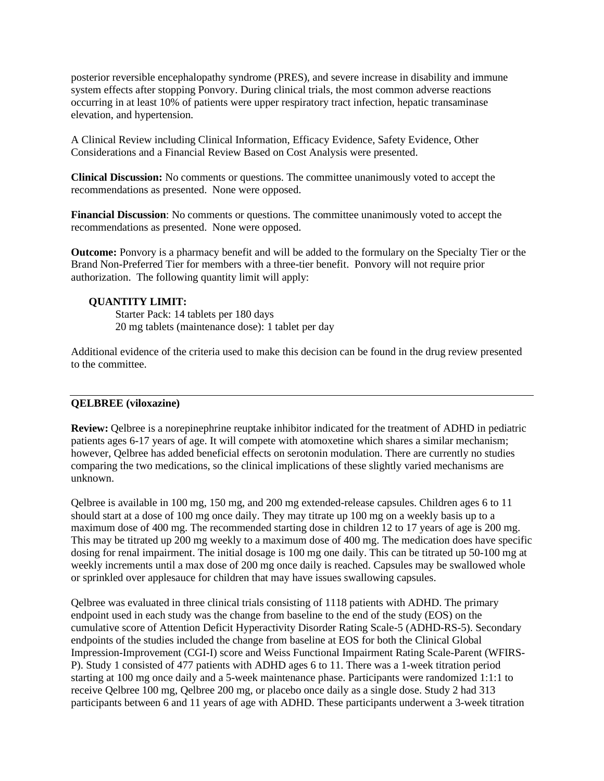posterior reversible encephalopathy syndrome (PRES), and severe increase in disability and immune system effects after stopping Ponvory. During clinical trials, the most common adverse reactions occurring in at least 10% of patients were upper respiratory tract infection, hepatic transaminase elevation, and hypertension.

A Clinical Review including Clinical Information, Efficacy Evidence, Safety Evidence, Other Considerations and a Financial Review Based on Cost Analysis were presented.

**Clinical Discussion:** No comments or questions. The committee unanimously voted to accept the recommendations as presented. None were opposed.

**Financial Discussion**: No comments or questions. The committee unanimously voted to accept the recommendations as presented. None were opposed.

**Outcome:** Ponvory is a pharmacy benefit and will be added to the formulary on the Specialty Tier or the Brand Non-Preferred Tier for members with a three-tier benefit. Ponvory will not require prior authorization. The following quantity limit will apply:

#### **QUANTITY LIMIT:**

Starter Pack: 14 tablets per 180 days 20 mg tablets (maintenance dose): 1 tablet per day

Additional evidence of the criteria used to make this decision can be found in the drug review presented to the committee.

### **QELBREE (viloxazine)**

**Review:** Qelbree is a norepinephrine reuptake inhibitor indicated for the treatment of ADHD in pediatric patients ages 6-17 years of age. It will compete with atomoxetine which shares a similar mechanism; however, Qelbree has added beneficial effects on serotonin modulation. There are currently no studies comparing the two medications, so the clinical implications of these slightly varied mechanisms are unknown.

Qelbree is available in 100 mg, 150 mg, and 200 mg extended-release capsules. Children ages 6 to 11 should start at a dose of 100 mg once daily. They may titrate up 100 mg on a weekly basis up to a maximum dose of 400 mg. The recommended starting dose in children 12 to 17 years of age is 200 mg. This may be titrated up 200 mg weekly to a maximum dose of 400 mg. The medication does have specific dosing for renal impairment. The initial dosage is 100 mg one daily. This can be titrated up 50-100 mg at weekly increments until a max dose of 200 mg once daily is reached. Capsules may be swallowed whole or sprinkled over applesauce for children that may have issues swallowing capsules.

Qelbree was evaluated in three clinical trials consisting of 1118 patients with ADHD. The primary endpoint used in each study was the change from baseline to the end of the study (EOS) on the cumulative score of Attention Deficit Hyperactivity Disorder Rating Scale-5 (ADHD-RS-5). Secondary endpoints of the studies included the change from baseline at EOS for both the Clinical Global Impression-Improvement (CGI-I) score and Weiss Functional Impairment Rating Scale-Parent (WFIRS-P). Study 1 consisted of 477 patients with ADHD ages 6 to 11. There was a 1-week titration period starting at 100 mg once daily and a 5-week maintenance phase. Participants were randomized 1:1:1 to receive Qelbree 100 mg, Qelbree 200 mg, or placebo once daily as a single dose. Study 2 had 313 participants between 6 and 11 years of age with ADHD. These participants underwent a 3-week titration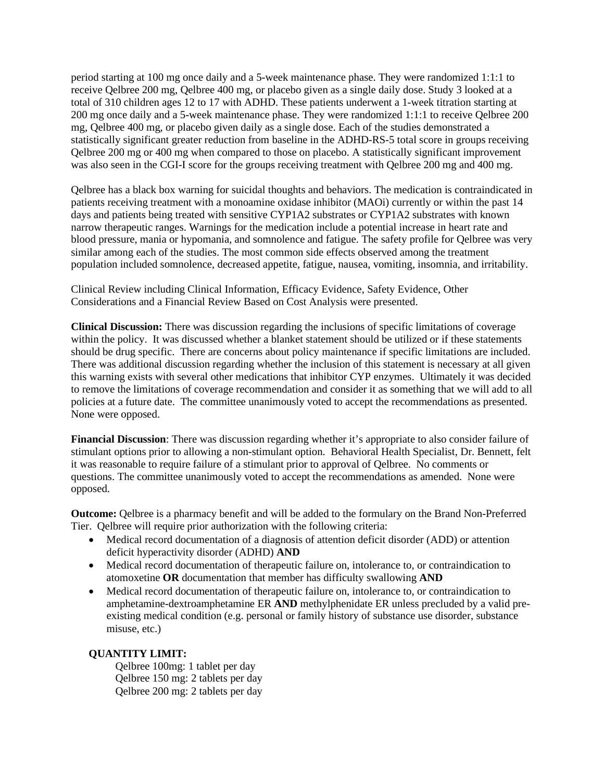period starting at 100 mg once daily and a 5-week maintenance phase. They were randomized 1:1:1 to receive Qelbree 200 mg, Qelbree 400 mg, or placebo given as a single daily dose. Study 3 looked at a total of 310 children ages 12 to 17 with ADHD. These patients underwent a 1-week titration starting at 200 mg once daily and a 5-week maintenance phase. They were randomized 1:1:1 to receive Qelbree 200 mg, Qelbree 400 mg, or placebo given daily as a single dose. Each of the studies demonstrated a statistically significant greater reduction from baseline in the ADHD-RS-5 total score in groups receiving Qelbree 200 mg or 400 mg when compared to those on placebo. A statistically significant improvement was also seen in the CGI-I score for the groups receiving treatment with Qelbree 200 mg and 400 mg.

Qelbree has a black box warning for suicidal thoughts and behaviors. The medication is contraindicated in patients receiving treatment with a monoamine oxidase inhibitor (MAOi) currently or within the past 14 days and patients being treated with sensitive CYP1A2 substrates or CYP1A2 substrates with known narrow therapeutic ranges. Warnings for the medication include a potential increase in heart rate and blood pressure, mania or hypomania, and somnolence and fatigue. The safety profile for Qelbree was very similar among each of the studies. The most common side effects observed among the treatment population included somnolence, decreased appetite, fatigue, nausea, vomiting, insomnia, and irritability.

Clinical Review including Clinical Information, Efficacy Evidence, Safety Evidence, Other Considerations and a Financial Review Based on Cost Analysis were presented.

**Clinical Discussion:** There was discussion regarding the inclusions of specific limitations of coverage within the policy. It was discussed whether a blanket statement should be utilized or if these statements should be drug specific. There are concerns about policy maintenance if specific limitations are included. There was additional discussion regarding whether the inclusion of this statement is necessary at all given this warning exists with several other medications that inhibitor CYP enzymes. Ultimately it was decided to remove the limitations of coverage recommendation and consider it as something that we will add to all policies at a future date. The committee unanimously voted to accept the recommendations as presented. None were opposed.

**Financial Discussion**: There was discussion regarding whether it's appropriate to also consider failure of stimulant options prior to allowing a non-stimulant option. Behavioral Health Specialist, Dr. Bennett, felt it was reasonable to require failure of a stimulant prior to approval of Qelbree. No comments or questions. The committee unanimously voted to accept the recommendations as amended. None were opposed.

**Outcome:** Qelbree is a pharmacy benefit and will be added to the formulary on the Brand Non-Preferred Tier. Qelbree will require prior authorization with the following criteria:

- Medical record documentation of a diagnosis of attention deficit disorder (ADD) or attention deficit hyperactivity disorder (ADHD) **AND**
- Medical record documentation of therapeutic failure on, intolerance to, or contraindication to atomoxetine **OR** documentation that member has difficulty swallowing **AND**
- Medical record documentation of therapeutic failure on, intolerance to, or contraindication to amphetamine-dextroamphetamine ER **AND** methylphenidate ER unless precluded by a valid preexisting medical condition (e.g. personal or family history of substance use disorder, substance misuse, etc.)

### **QUANTITY LIMIT:**

Qelbree 100mg: 1 tablet per day Qelbree 150 mg: 2 tablets per day Qelbree 200 mg: 2 tablets per day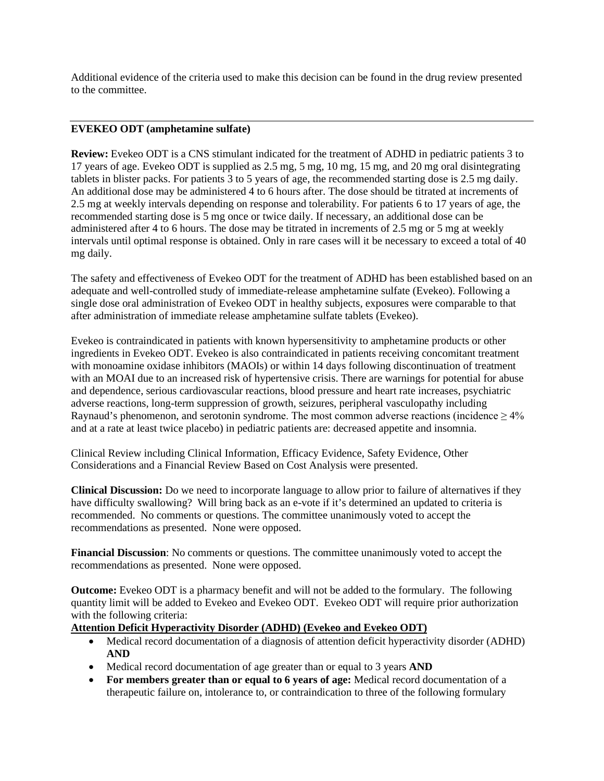Additional evidence of the criteria used to make this decision can be found in the drug review presented to the committee.

### **EVEKEO ODT (amphetamine sulfate)**

**Review:** Evekeo ODT is a CNS stimulant indicated for the treatment of ADHD in pediatric patients 3 to 17 years of age. Evekeo ODT is supplied as 2.5 mg, 5 mg, 10 mg, 15 mg, and 20 mg oral disintegrating tablets in blister packs. For patients 3 to 5 years of age, the recommended starting dose is 2.5 mg daily. An additional dose may be administered 4 to 6 hours after. The dose should be titrated at increments of 2.5 mg at weekly intervals depending on response and tolerability. For patients 6 to 17 years of age, the recommended starting dose is 5 mg once or twice daily. If necessary, an additional dose can be administered after 4 to 6 hours. The dose may be titrated in increments of 2.5 mg or 5 mg at weekly intervals until optimal response is obtained. Only in rare cases will it be necessary to exceed a total of 40 mg daily.

The safety and effectiveness of Evekeo ODT for the treatment of ADHD has been established based on an adequate and well-controlled study of immediate-release amphetamine sulfate (Evekeo). Following a single dose oral administration of Evekeo ODT in healthy subjects, exposures were comparable to that after administration of immediate release amphetamine sulfate tablets (Evekeo).

Evekeo is contraindicated in patients with known hypersensitivity to amphetamine products or other ingredients in Evekeo ODT. Evekeo is also contraindicated in patients receiving concomitant treatment with monoamine oxidase inhibitors (MAOIs) or within 14 days following discontinuation of treatment with an MOAI due to an increased risk of hypertensive crisis. There are warnings for potential for abuse and dependence, serious cardiovascular reactions, blood pressure and heart rate increases, psychiatric adverse reactions, long-term suppression of growth, seizures, peripheral vasculopathy including Raynaud's phenomenon, and serotonin syndrome. The most common adverse reactions (incidence  $\geq 4\%$ ) and at a rate at least twice placebo) in pediatric patients are: decreased appetite and insomnia.

Clinical Review including Clinical Information, Efficacy Evidence, Safety Evidence, Other Considerations and a Financial Review Based on Cost Analysis were presented.

**Clinical Discussion:** Do we need to incorporate language to allow prior to failure of alternatives if they have difficulty swallowing? Will bring back as an e-vote if it's determined an updated to criteria is recommended. No comments or questions. The committee unanimously voted to accept the recommendations as presented. None were opposed.

**Financial Discussion**: No comments or questions. The committee unanimously voted to accept the recommendations as presented. None were opposed.

**Outcome:** Evekeo ODT is a pharmacy benefit and will not be added to the formulary. The following quantity limit will be added to Evekeo and Evekeo ODT. Evekeo ODT will require prior authorization with the following criteria:

### **Attention Deficit Hyperactivity Disorder (ADHD) (Evekeo and Evekeo ODT)**

- Medical record documentation of a diagnosis of attention deficit hyperactivity disorder (ADHD) **AND**
- Medical record documentation of age greater than or equal to 3 years **AND**
- **For members greater than or equal to 6 years of age:** Medical record documentation of a therapeutic failure on, intolerance to, or contraindication to three of the following formulary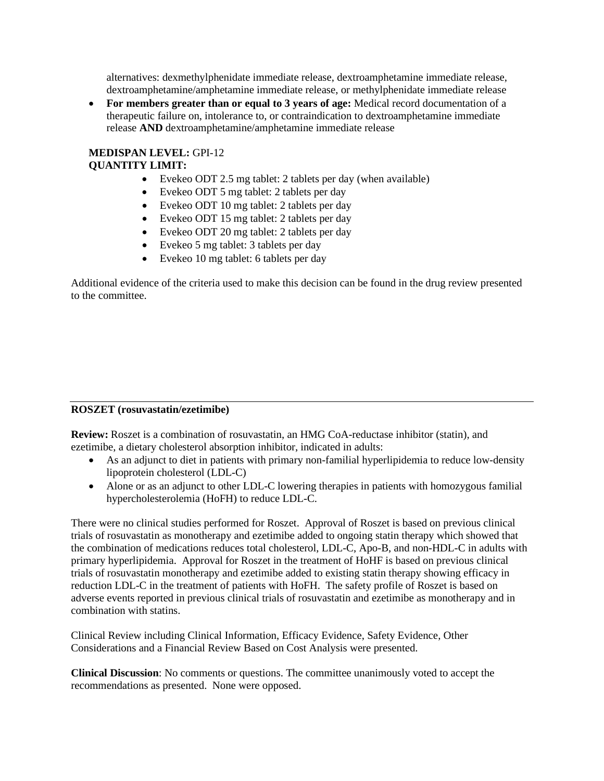alternatives: dexmethylphenidate immediate release, dextroamphetamine immediate release, dextroamphetamine/amphetamine immediate release, or methylphenidate immediate release

• **For members greater than or equal to 3 years of age:** Medical record documentation of a therapeutic failure on, intolerance to, or contraindication to dextroamphetamine immediate release **AND** dextroamphetamine/amphetamine immediate release

## **MEDISPAN LEVEL:** GPI-12 **QUANTITY LIMIT:**

- Evekeo ODT 2.5 mg tablet: 2 tablets per day (when available)
- Evekeo ODT 5 mg tablet: 2 tablets per day
- Evekeo ODT 10 mg tablet: 2 tablets per day
- Evekeo ODT 15 mg tablet: 2 tablets per day
- Evekeo ODT 20 mg tablet: 2 tablets per day
- Evekeo 5 mg tablet: 3 tablets per day
- Evekeo 10 mg tablet: 6 tablets per day

Additional evidence of the criteria used to make this decision can be found in the drug review presented to the committee.

### **ROSZET (rosuvastatin/ezetimibe)**

**Review:** Roszet is a combination of rosuvastatin, an HMG CoA-reductase inhibitor (statin), and ezetimibe, a dietary cholesterol absorption inhibitor, indicated in adults:

- As an adjunct to diet in patients with primary non-familial hyperlipidemia to reduce low-density lipoprotein cholesterol (LDL-C)
- Alone or as an adjunct to other LDL-C lowering therapies in patients with homozygous familial hypercholesterolemia (HoFH) to reduce LDL-C.

There were no clinical studies performed for Roszet. Approval of Roszet is based on previous clinical trials of rosuvastatin as monotherapy and ezetimibe added to ongoing statin therapy which showed that the combination of medications reduces total cholesterol, LDL-C, Apo-B, and non-HDL-C in adults with primary hyperlipidemia. Approval for Roszet in the treatment of HoHF is based on previous clinical trials of rosuvastatin monotherapy and ezetimibe added to existing statin therapy showing efficacy in reduction LDL-C in the treatment of patients with HoFH. The safety profile of Roszet is based on adverse events reported in previous clinical trials of rosuvastatin and ezetimibe as monotherapy and in combination with statins.

Clinical Review including Clinical Information, Efficacy Evidence, Safety Evidence, Other Considerations and a Financial Review Based on Cost Analysis were presented.

**Clinical Discussion**: No comments or questions. The committee unanimously voted to accept the recommendations as presented. None were opposed.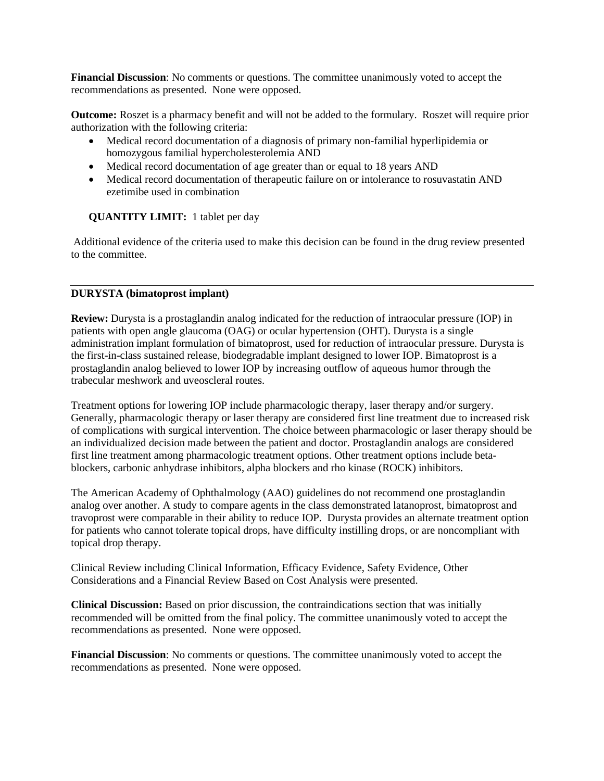**Financial Discussion**: No comments or questions. The committee unanimously voted to accept the recommendations as presented. None were opposed.

**Outcome:** Roszet is a pharmacy benefit and will not be added to the formulary. Roszet will require prior authorization with the following criteria:

- Medical record documentation of a diagnosis of primary non-familial hyperlipidemia or homozygous familial hypercholesterolemia AND
- Medical record documentation of age greater than or equal to 18 years AND
- Medical record documentation of therapeutic failure on or intolerance to rosuvastatin AND ezetimibe used in combination

### **QUANTITY LIMIT:** 1 tablet per day

Additional evidence of the criteria used to make this decision can be found in the drug review presented to the committee.

### **DURYSTA (bimatoprost implant)**

**Review:** Durysta is a prostaglandin analog indicated for the reduction of intraocular pressure (IOP) in patients with open angle glaucoma (OAG) or ocular hypertension (OHT). Durysta is a single administration implant formulation of bimatoprost, used for reduction of intraocular pressure. Durysta is the first-in-class sustained release, biodegradable implant designed to lower IOP. Bimatoprost is a prostaglandin analog believed to lower IOP by increasing outflow of aqueous humor through the trabecular meshwork and uveoscleral routes.

Treatment options for lowering IOP include pharmacologic therapy, laser therapy and/or surgery. Generally, pharmacologic therapy or laser therapy are considered first line treatment due to increased risk of complications with surgical intervention. The choice between pharmacologic or laser therapy should be an individualized decision made between the patient and doctor. Prostaglandin analogs are considered first line treatment among pharmacologic treatment options. Other treatment options include betablockers, carbonic anhydrase inhibitors, alpha blockers and rho kinase (ROCK) inhibitors.

The American Academy of Ophthalmology (AAO) guidelines do not recommend one prostaglandin analog over another. A study to compare agents in the class demonstrated latanoprost, bimatoprost and travoprost were comparable in their ability to reduce IOP. Durysta provides an alternate treatment option for patients who cannot tolerate topical drops, have difficulty instilling drops, or are noncompliant with topical drop therapy.

Clinical Review including Clinical Information, Efficacy Evidence, Safety Evidence, Other Considerations and a Financial Review Based on Cost Analysis were presented.

**Clinical Discussion:** Based on prior discussion, the contraindications section that was initially recommended will be omitted from the final policy. The committee unanimously voted to accept the recommendations as presented. None were opposed.

**Financial Discussion**: No comments or questions. The committee unanimously voted to accept the recommendations as presented. None were opposed.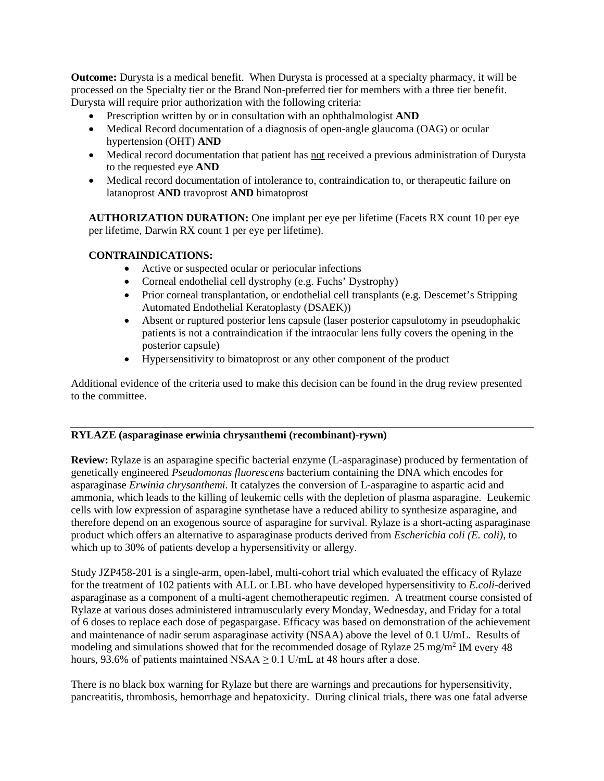**Outcome:** Durysta is a medical benefit. When Durysta is processed at a specialty pharmacy, it will be processed on the Specialty tier or the Brand Non-preferred tier for members with a three tier benefit. Durysta will require prior authorization with the following criteria:

- Prescription written by or in consultation with an ophthalmologist **AND**
- Medical Record documentation of a diagnosis of open-angle glaucoma (OAG) or ocular hypertension (OHT) **AND**
- Medical record documentation that patient has not received a previous administration of Durysta to the requested eye **AND**
- Medical record documentation of intolerance to, contraindication to, or therapeutic failure on latanoprost **AND** travoprost **AND** bimatoprost

**AUTHORIZATION DURATION:** One implant per eye per lifetime (Facets RX count 10 per eye per lifetime, Darwin RX count 1 per eye per lifetime).

# **CONTRAINDICATIONS:**

- Active or suspected ocular or periocular infections
- Corneal endothelial cell dystrophy (e.g. Fuchs' Dystrophy)
- Prior corneal transplantation, or endothelial cell transplants (e.g. Descemet's Stripping Automated Endothelial Keratoplasty (DSAEK))
- Absent or ruptured posterior lens capsule (laser posterior capsulotomy in pseudophakic patients is not a contraindication if the intraocular lens fully covers the opening in the posterior capsule)
- Hypersensitivity to bimatoprost or any other component of the product

Additional evidence of the criteria used to make this decision can be found in the drug review presented to the committee.

# **RYLAZE (asparaginase erwinia chrysanthemi (recombinant)-rywn)**

**Review:** Rylaze is an asparagine specific bacterial enzyme (L-asparaginase) produced by fermentation of genetically engineered *Pseudomonas fluorescens* bacterium containing the DNA which encodes for asparaginase *Erwinia chrysanthemi*. It catalyzes the conversion of L-asparagine to aspartic acid and ammonia, which leads to the killing of leukemic cells with the depletion of plasma asparagine. Leukemic cells with low expression of asparagine synthetase have a reduced ability to synthesize asparagine, and therefore depend on an exogenous source of asparagine for survival. Rylaze is a short-acting asparaginase product which offers an alternative to asparaginase products derived from *Escherichia coli (E. coli)*, to which up to 30% of patients develop a hypersensitivity or allergy.

Study JZP458-201 is a single-arm, open-label, multi-cohort trial which evaluated the efficacy of Rylaze for the treatment of 102 patients with ALL or LBL who have developed hypersensitivity to *E.coli*-derived asparaginase as a component of a multi-agent chemotherapeutic regimen. A treatment course consisted of Rylaze at various doses administered intramuscularly every Monday, Wednesday, and Friday for a total of 6 doses to replace each dose of pegaspargase. Efficacy was based on demonstration of the achievement and maintenance of nadir serum asparaginase activity (NSAA) above the level of 0.1 U/mL. Results of modeling and simulations showed that for the recommended dosage of Rylaze 25 mg/m<sup>2</sup> IM every 48 hours, 93.6% of patients maintained NSAA  $\geq$  0.1 U/mL at 48 hours after a dose.

There is no black box warning for Rylaze but there are warnings and precautions for hypersensitivity, pancreatitis, thrombosis, hemorrhage and hepatoxicity. During clinical trials, there was one fatal adverse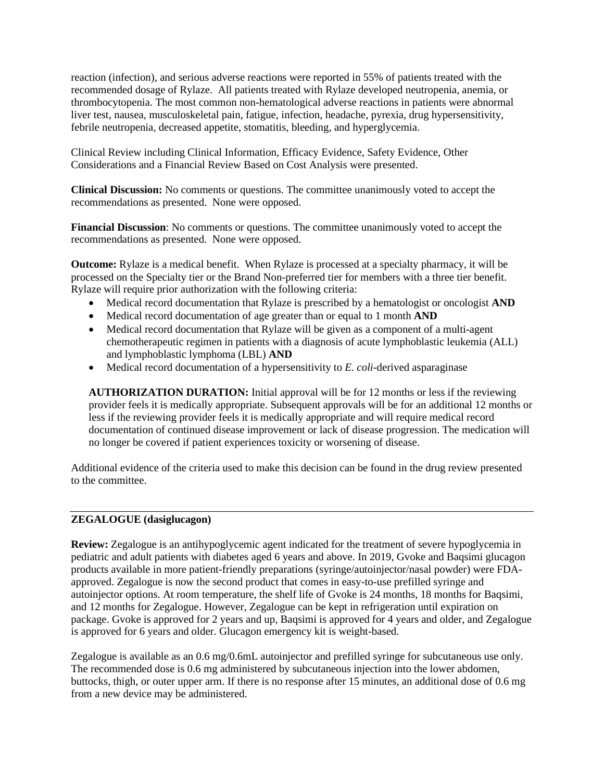reaction (infection), and serious adverse reactions were reported in 55% of patients treated with the recommended dosage of Rylaze. All patients treated with Rylaze developed neutropenia, anemia, or thrombocytopenia. The most common non-hematological adverse reactions in patients were abnormal liver test, nausea, musculoskeletal pain, fatigue, infection, headache, pyrexia, drug hypersensitivity, febrile neutropenia, decreased appetite, stomatitis, bleeding, and hyperglycemia.

Clinical Review including Clinical Information, Efficacy Evidence, Safety Evidence, Other Considerations and a Financial Review Based on Cost Analysis were presented.

**Clinical Discussion:** No comments or questions. The committee unanimously voted to accept the recommendations as presented. None were opposed.

**Financial Discussion**: No comments or questions. The committee unanimously voted to accept the recommendations as presented. None were opposed.

**Outcome:** Rylaze is a medical benefit. When Rylaze is processed at a specialty pharmacy, it will be processed on the Specialty tier or the Brand Non-preferred tier for members with a three tier benefit. Rylaze will require prior authorization with the following criteria:

- Medical record documentation that Rylaze is prescribed by a hematologist or oncologist **AND**
- Medical record documentation of age greater than or equal to 1 month **AND**
- Medical record documentation that Rylaze will be given as a component of a multi-agent chemotherapeutic regimen in patients with a diagnosis of acute lymphoblastic leukemia (ALL) and lymphoblastic lymphoma (LBL) **AND**
- Medical record documentation of a hypersensitivity to *E. coli*-derived asparaginase

**AUTHORIZATION DURATION:** Initial approval will be for 12 months or less if the reviewing provider feels it is medically appropriate. Subsequent approvals will be for an additional 12 months or less if the reviewing provider feels it is medically appropriate and will require medical record documentation of continued disease improvement or lack of disease progression. The medication will no longer be covered if patient experiences toxicity or worsening of disease.

Additional evidence of the criteria used to make this decision can be found in the drug review presented to the committee.

### **ZEGALOGUE (dasiglucagon)**

**Review:** Zegalogue is an antihypoglycemic agent indicated for the treatment of severe hypoglycemia in pediatric and adult patients with diabetes aged 6 years and above. In 2019, Gvoke and Baqsimi glucagon products available in more patient-friendly preparations (syringe/autoinjector/nasal powder) were FDAapproved. Zegalogue is now the second product that comes in easy-to-use prefilled syringe and autoinjector options. At room temperature, the shelf life of Gvoke is 24 months, 18 months for Baqsimi, and 12 months for Zegalogue. However, Zegalogue can be kept in refrigeration until expiration on package. Gvoke is approved for 2 years and up, Baqsimi is approved for 4 years and older, and Zegalogue is approved for 6 years and older. Glucagon emergency kit is weight-based.

Zegalogue is available as an 0.6 mg/0.6mL autoinjector and prefilled syringe for subcutaneous use only. The recommended dose is 0.6 mg administered by subcutaneous injection into the lower abdomen, buttocks, thigh, or outer upper arm. If there is no response after 15 minutes, an additional dose of 0.6 mg from a new device may be administered.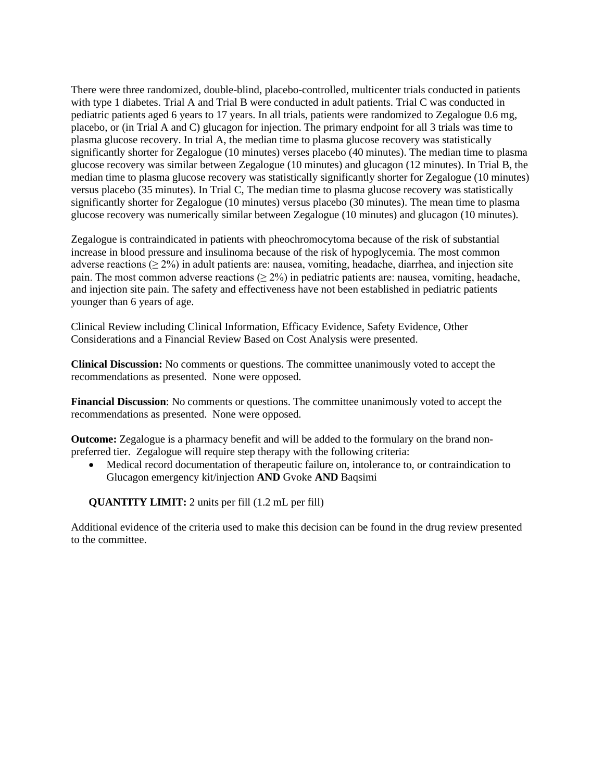There were three randomized, double-blind, placebo-controlled, multicenter trials conducted in patients with type 1 diabetes. Trial A and Trial B were conducted in adult patients. Trial C was conducted in pediatric patients aged 6 years to 17 years. In all trials, patients were randomized to Zegalogue 0.6 mg, placebo, or (in Trial A and C) glucagon for injection. The primary endpoint for all 3 trials was time to plasma glucose recovery. In trial A, the median time to plasma glucose recovery was statistically significantly shorter for Zegalogue (10 minutes) verses placebo (40 minutes). The median time to plasma glucose recovery was similar between Zegalogue (10 minutes) and glucagon (12 minutes). In Trial B, the median time to plasma glucose recovery was statistically significantly shorter for Zegalogue (10 minutes) versus placebo (35 minutes). In Trial C, The median time to plasma glucose recovery was statistically significantly shorter for Zegalogue (10 minutes) versus placebo (30 minutes). The mean time to plasma glucose recovery was numerically similar between Zegalogue (10 minutes) and glucagon (10 minutes).

Zegalogue is contraindicated in patients with pheochromocytoma because of the risk of substantial increase in blood pressure and insulinoma because of the risk of hypoglycemia. The most common adverse reactions ( $\geq 2\%$ ) in adult patients are: nausea, vomiting, headache, diarrhea, and injection site pain. The most common adverse reactions ( $\geq 2\%$ ) in pediatric patients are: nausea, vomiting, headache, and injection site pain. The safety and effectiveness have not been established in pediatric patients younger than 6 years of age.

Clinical Review including Clinical Information, Efficacy Evidence, Safety Evidence, Other Considerations and a Financial Review Based on Cost Analysis were presented.

**Clinical Discussion:** No comments or questions. The committee unanimously voted to accept the recommendations as presented. None were opposed.

**Financial Discussion**: No comments or questions. The committee unanimously voted to accept the recommendations as presented. None were opposed.

**Outcome:** Zegalogue is a pharmacy benefit and will be added to the formulary on the brand nonpreferred tier. Zegalogue will require step therapy with the following criteria:

• Medical record documentation of therapeutic failure on, intolerance to, or contraindication to Glucagon emergency kit/injection **AND** Gvoke **AND** Baqsimi

**QUANTITY LIMIT:** 2 units per fill (1.2 mL per fill)

Additional evidence of the criteria used to make this decision can be found in the drug review presented to the committee.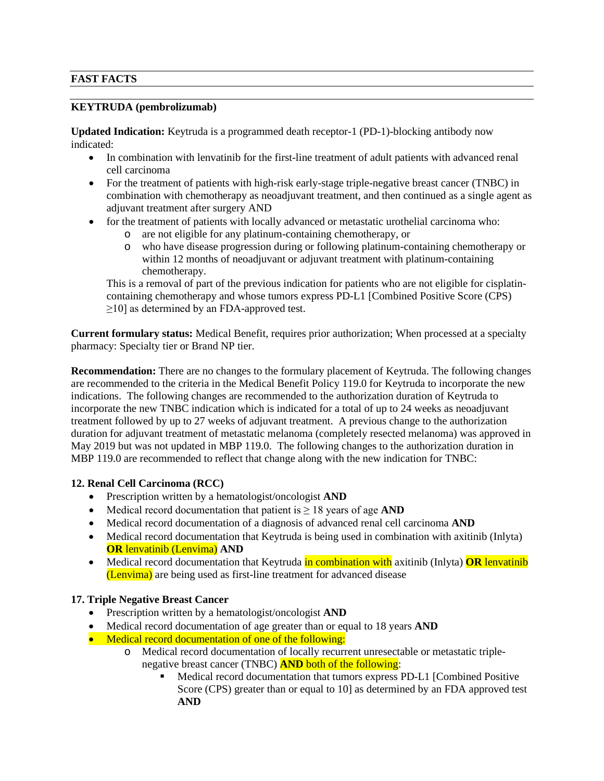# **FAST FACTS**

## **KEYTRUDA (pembrolizumab)**

**Updated Indication:** Keytruda is a programmed death receptor-1 (PD-1)-blocking antibody now indicated:

- In combination with lenvatinib for the first-line treatment of adult patients with advanced renal cell carcinoma
- For the treatment of patients with high-risk early-stage triple-negative breast cancer (TNBC) in combination with chemotherapy as neoadjuvant treatment, and then continued as a single agent as adjuvant treatment after surgery AND
- for the treatment of patients with locally advanced or metastatic urothelial carcinoma who:
	- o are not eligible for any platinum-containing chemotherapy, or
	- who have disease progression during or following platinum-containing chemotherapy or within 12 months of neoadjuvant or adjuvant treatment with platinum-containing chemotherapy.

This is a removal of part of the previous indication for patients who are not eligible for cisplatincontaining chemotherapy and whose tumors express PD-L1 [Combined Positive Score (CPS)  $\geq$ 10] as determined by an FDA-approved test.

**Current formulary status:** Medical Benefit, requires prior authorization; When processed at a specialty pharmacy: Specialty tier or Brand NP tier.

**Recommendation:** There are no changes to the formulary placement of Keytruda. The following changes are recommended to the criteria in the Medical Benefit Policy 119.0 for Keytruda to incorporate the new indications. The following changes are recommended to the authorization duration of Keytruda to incorporate the new TNBC indication which is indicated for a total of up to 24 weeks as neoadjuvant treatment followed by up to 27 weeks of adjuvant treatment. A previous change to the authorization duration for adjuvant treatment of metastatic melanoma (completely resected melanoma) was approved in May 2019 but was not updated in MBP 119.0. The following changes to the authorization duration in MBP 119.0 are recommended to reflect that change along with the new indication for TNBC:

### **12. Renal Cell Carcinoma (RCC)**

- Prescription written by a hematologist/oncologist **AND**
- Medical record documentation that patient is ≥ 18 years of age **AND**
- Medical record documentation of a diagnosis of advanced renal cell carcinoma **AND**
- Medical record documentation that Keytruda is being used in combination with axitinib (Inlyta) **OR** lenvatinib (Lenvima) **AND**
- Medical record documentation that Keytruda in combination with axitinib (Inlyta) **OR** lenvatinib (Lenvima) are being used as first-line treatment for advanced disease

### **17. Triple Negative Breast Cancer**

- Prescription written by a hematologist/oncologist **AND**
- Medical record documentation of age greater than or equal to 18 years **AND**
- Medical record documentation of one of the following:
	- o Medical record documentation of locally recurrent unresectable or metastatic triplenegative breast cancer (TNBC) **AND** both of the following:
		- Medical record documentation that tumors express PD-L1 [Combined Positive Score (CPS) greater than or equal to 10] as determined by an FDA approved test **AND**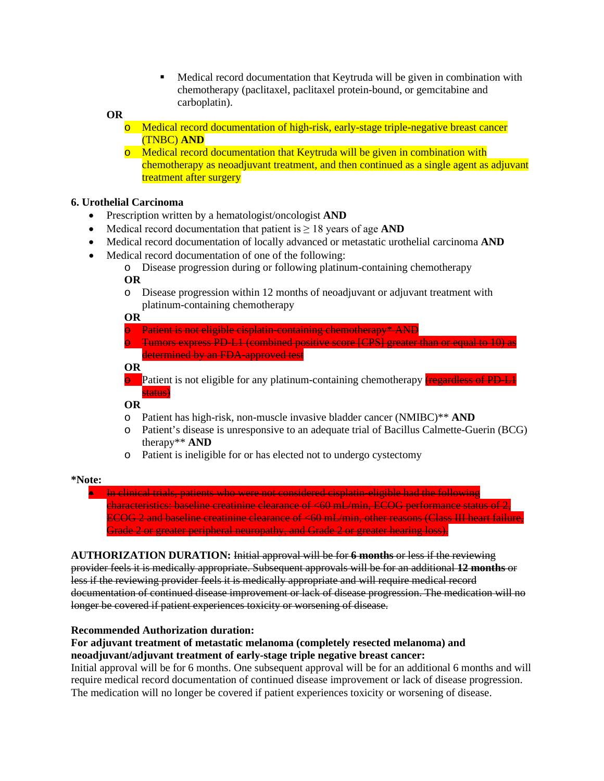Medical record documentation that Keytruda will be given in combination with chemotherapy (paclitaxel, paclitaxel protein-bound, or gemcitabine and carboplatin).

#### **OR**

- o Medical record documentation of high-risk, early-stage triple-negative breast cancer (TNBC) **AND**
- o Medical record documentation that Keytruda will be given in combination with chemotherapy as neoadjuvant treatment, and then continued as a single agent as adjuvant treatment after surgery

### **6. Urothelial Carcinoma**

- Prescription written by a hematologist/oncologist **AND**
- Medical record documentation that patient is  $\geq 18$  years of age **AND**
- Medical record documentation of locally advanced or metastatic urothelial carcinoma **AND**
	- Medical record documentation of one of the following:
		- o Disease progression during or following platinum-containing chemotherapy **OR**
		- o Disease progression within 12 months of neoadjuvant or adjuvant treatment with platinum-containing chemotherapy

**OR**

- Patient is not eligible cisplatin-containing chemotherapy\* AND
- o Tumors express PD-L1 (combined positive score [CPS] greater than or equal to 10) as determined by an FDA-approved test

#### **OR**

 $\Theta$  Patient is not eligible for any platinum-containing chemotherapy (regardless of PD-L1 status)

#### **OR**

- o Patient has high-risk, non-muscle invasive bladder cancer (NMIBC)\*\* **AND**
- Patient's disease is unresponsive to an adequate trial of Bacillus Calmette-Guerin (BCG) therapy\*\* **AND**
- o Patient is ineligible for or has elected not to undergo cystectomy

#### **\*Note:**

• In clinical trials, patients who were not considered cisplatin-eligible had the following characteristics: baseline creatinine clearance of <60 mL/min, ECOG performance status of 2, ECOG 2 and baseline creatinine clearance of <60 mL/min, other reasons (Class III heart failure, Grade 2 or greater peripheral neuropathy, and Grade 2 or greater hearing loss).

**AUTHORIZATION DURATION:** Initial approval will be for **6 months** or less if the reviewing provider feels it is medically appropriate. Subsequent approvals will be for an additional **12 months** or less if the reviewing provider feels it is medically appropriate and will require medical record documentation of continued disease improvement or lack of disease progression. The medication will no longer be covered if patient experiences toxicity or worsening of disease.

### **Recommended Authorization duration:**

### **For adjuvant treatment of metastatic melanoma (completely resected melanoma) and neoadjuvant/adjuvant treatment of early-stage triple negative breast cancer:**

Initial approval will be for 6 months. One subsequent approval will be for an additional 6 months and will require medical record documentation of continued disease improvement or lack of disease progression. The medication will no longer be covered if patient experiences toxicity or worsening of disease.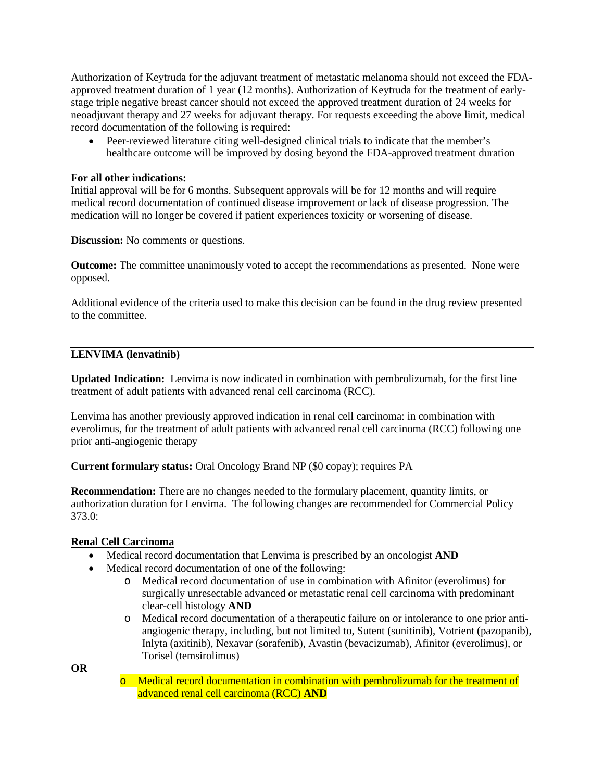Authorization of Keytruda for the adjuvant treatment of metastatic melanoma should not exceed the FDAapproved treatment duration of 1 year (12 months). Authorization of Keytruda for the treatment of earlystage triple negative breast cancer should not exceed the approved treatment duration of 24 weeks for neoadjuvant therapy and 27 weeks for adjuvant therapy. For requests exceeding the above limit, medical record documentation of the following is required:

• Peer-reviewed literature citing well-designed clinical trials to indicate that the member's healthcare outcome will be improved by dosing beyond the FDA-approved treatment duration

### **For all other indications:**

Initial approval will be for 6 months. Subsequent approvals will be for 12 months and will require medical record documentation of continued disease improvement or lack of disease progression. The medication will no longer be covered if patient experiences toxicity or worsening of disease.

**Discussion:** No comments or questions.

**Outcome:** The committee unanimously voted to accept the recommendations as presented. None were opposed.

Additional evidence of the criteria used to make this decision can be found in the drug review presented to the committee.

### **LENVIMA (lenvatinib)**

**Updated Indication:** Lenvima is now indicated in combination with pembrolizumab, for the first line treatment of adult patients with advanced renal cell carcinoma (RCC).

Lenvima has another previously approved indication in renal cell carcinoma: in combination with everolimus, for the treatment of adult patients with advanced renal cell carcinoma (RCC) following one prior anti-angiogenic therapy

**Current formulary status:** Oral Oncology Brand NP (\$0 copay); requires PA

**Recommendation:** There are no changes needed to the formulary placement, quantity limits, or authorization duration for Lenvima. The following changes are recommended for Commercial Policy 373.0:

#### **Renal Cell Carcinoma**

- Medical record documentation that Lenvima is prescribed by an oncologist **AND**
- Medical record documentation of one of the following:
	- o Medical record documentation of use in combination with Afinitor (everolimus) for surgically unresectable advanced or metastatic renal cell carcinoma with predominant clear-cell histology **AND**
	- o Medical record documentation of a therapeutic failure on or intolerance to one prior antiangiogenic therapy, including, but not limited to, Sutent (sunitinib), Votrient (pazopanib), Inlyta (axitinib), Nexavar (sorafenib), Avastin (bevacizumab), Afinitor (everolimus), or Torisel (temsirolimus)

**OR**

o Medical record documentation in combination with pembrolizumab for the treatment of advanced renal cell carcinoma (RCC) **AND**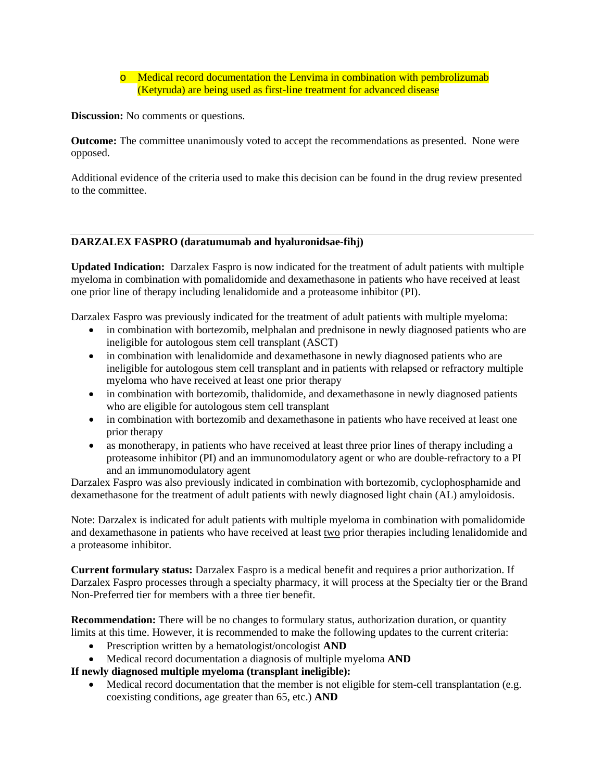o Medical record documentation the Lenvima in combination with pembrolizumab (Ketyruda) are being used as first-line treatment for advanced disease

**Discussion:** No comments or questions.

**Outcome:** The committee unanimously voted to accept the recommendations as presented. None were opposed.

Additional evidence of the criteria used to make this decision can be found in the drug review presented to the committee.

### **DARZALEX FASPRO (daratumumab and hyaluronidsae-fihj)**

**Updated Indication:** Darzalex Faspro is now indicated for the treatment of adult patients with multiple myeloma in combination with pomalidomide and dexamethasone in patients who have received at least one prior line of therapy including lenalidomide and a proteasome inhibitor (PI).

Darzalex Faspro was previously indicated for the treatment of adult patients with multiple myeloma:

- in combination with bortezomib, melphalan and prednisone in newly diagnosed patients who are ineligible for autologous stem cell transplant (ASCT)
- in combination with lenalidomide and dexamethasone in newly diagnosed patients who are ineligible for autologous stem cell transplant and in patients with relapsed or refractory multiple myeloma who have received at least one prior therapy
- in combination with bortezomib, thalidomide, and dexamethasone in newly diagnosed patients who are eligible for autologous stem cell transplant
- in combination with bortezomib and dexamethasone in patients who have received at least one prior therapy
- as monotherapy, in patients who have received at least three prior lines of therapy including a proteasome inhibitor (PI) and an immunomodulatory agent or who are double-refractory to a PI and an immunomodulatory agent

Darzalex Faspro was also previously indicated in combination with bortezomib, cyclophosphamide and dexamethasone for the treatment of adult patients with newly diagnosed light chain (AL) amyloidosis.

Note: Darzalex is indicated for adult patients with multiple myeloma in combination with pomalidomide and dexamethasone in patients who have received at least two prior therapies including lenalidomide and a proteasome inhibitor.

**Current formulary status:** Darzalex Faspro is a medical benefit and requires a prior authorization. If Darzalex Faspro processes through a specialty pharmacy, it will process at the Specialty tier or the Brand Non-Preferred tier for members with a three tier benefit.

**Recommendation:** There will be no changes to formulary status, authorization duration, or quantity limits at this time. However, it is recommended to make the following updates to the current criteria:

- Prescription written by a hematologist/oncologist **AND**
- Medical record documentation a diagnosis of multiple myeloma **AND**

**If newly diagnosed multiple myeloma (transplant ineligible):**

Medical record documentation that the member is not eligible for stem-cell transplantation (e.g. coexisting conditions, age greater than 65, etc.) **AND**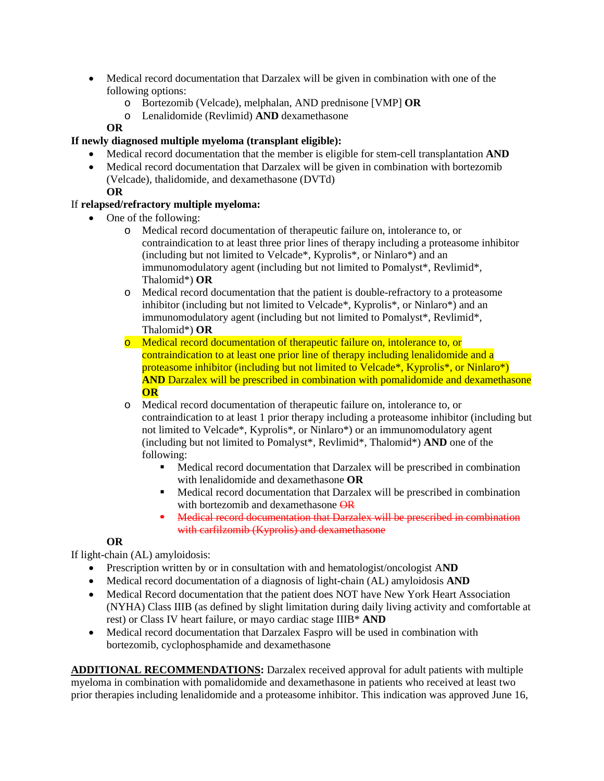- Medical record documentation that Darzalex will be given in combination with one of the following options:
	- o Bortezomib (Velcade), melphalan, AND prednisone [VMP] **OR**
	- o Lenalidomide (Revlimid) **AND** dexamethasone

# **OR**

# **If newly diagnosed multiple myeloma (transplant eligible):**

- Medical record documentation that the member is eligible for stem-cell transplantation **AND**
- Medical record documentation that Darzalex will be given in combination with bortezomib (Velcade), thalidomide, and dexamethasone (DVTd) **OR**

# If **relapsed/refractory multiple myeloma:**

- One of the following:
	- o Medical record documentation of therapeutic failure on, intolerance to, or contraindication to at least three prior lines of therapy including a proteasome inhibitor (including but not limited to Velcade\*, Kyprolis\*, or Ninlaro\*) and an immunomodulatory agent (including but not limited to Pomalyst\*, Revlimid\*, Thalomid\*) **OR**
	- o Medical record documentation that the patient is double-refractory to a proteasome inhibitor (including but not limited to Velcade\*, Kyprolis\*, or Ninlaro\*) and an immunomodulatory agent (including but not limited to Pomalyst\*, Revlimid\*, Thalomid\*) **OR**
	- o Medical record documentation of therapeutic failure on, intolerance to, or contraindication to at least one prior line of therapy including lenalidomide and a proteasome inhibitor (including but not limited to Velcade\*, Kyprolis\*, or Ninlaro\*) **AND** Darzalex will be prescribed in combination with pomalidomide and dexamethasone **OR**
	- o Medical record documentation of therapeutic failure on, intolerance to, or contraindication to at least 1 prior therapy including a proteasome inhibitor (including but not limited to Velcade\*, Kyprolis\*, or Ninlaro\*) or an immunomodulatory agent (including but not limited to Pomalyst\*, Revlimid\*, Thalomid\*) **AND** one of the following:
		- Medical record documentation that Darzalex will be prescribed in combination with lenalidomide and dexamethasone **OR**
		- Medical record documentation that Darzalex will be prescribed in combination with bortezomib and dexamethasone OR
		- Medical record documentation that Darzalex will be prescribed in combination with carfilzomib (Kyprolis) and dexamethasone

# **OR**

If light-chain (AL) amyloidosis:

- Prescription written by or in consultation with and hematologist/oncologist A**ND**
- Medical record documentation of a diagnosis of light-chain (AL) amyloidosis **AND**
- Medical Record documentation that the patient does NOT have New York Heart Association (NYHA) Class IIIB (as defined by slight limitation during daily living activity and comfortable at rest) or Class IV heart failure, or mayo cardiac stage IIIB\* **AND**
- Medical record documentation that Darzalex Faspro will be used in combination with bortezomib, cyclophosphamide and dexamethasone

**ADDITIONAL RECOMMENDATIONS:** Darzalex received approval for adult patients with multiple myeloma in combination with pomalidomide and dexamethasone in patients who received at least two prior therapies including lenalidomide and a proteasome inhibitor. This indication was approved June 16,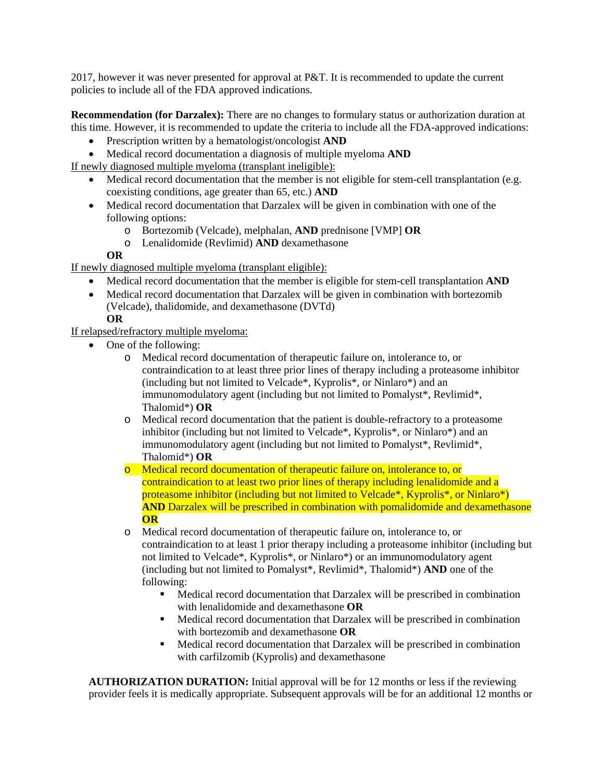2017, however it was never presented for approval at P&T. It is recommended to update the current policies to include all of the FDA approved indications.

**Recommendation (for Darzalex):** There are no changes to formulary status or authorization duration at this time. However, it is recommended to update the criteria to include all the FDA-approved indications:

- Prescription written by a hematologist/oncologist **AND**
- Medical record documentation a diagnosis of multiple myeloma **AND**

If newly diagnosed multiple myeloma (transplant ineligible):

- Medical record documentation that the member is not eligible for stem-cell transplantation (e.g. coexisting conditions, age greater than 65, etc.) **AND**
- Medical record documentation that Darzalex will be given in combination with one of the following options:
	- o Bortezomib (Velcade), melphalan, **AND** prednisone [VMP] **OR**
	- o Lenalidomide (Revlimid) **AND** dexamethasone

### **OR**

If newly diagnosed multiple myeloma (transplant eligible):

- Medical record documentation that the member is eligible for stem-cell transplantation **AND**
- Medical record documentation that Darzalex will be given in combination with bortezomib (Velcade), thalidomide, and dexamethasone (DVTd)

**OR**

If relapsed/refractory multiple myeloma:

- One of the following:
	- o Medical record documentation of therapeutic failure on, intolerance to, or contraindication to at least three prior lines of therapy including a proteasome inhibitor (including but not limited to Velcade\*, Kyprolis\*, or Ninlaro\*) and an immunomodulatory agent (including but not limited to Pomalyst\*, Revlimid\*, Thalomid\*) **OR**
	- o Medical record documentation that the patient is double-refractory to a proteasome inhibitor (including but not limited to Velcade\*, Kyprolis\*, or Ninlaro\*) and an immunomodulatory agent (including but not limited to Pomalyst\*, Revlimid\*, Thalomid\*) **OR**
	- o Medical record documentation of therapeutic failure on, intolerance to, or contraindication to at least two prior lines of therapy including lenalidomide and a proteasome inhibitor (including but not limited to Velcade\*, Kyprolis\*, or Ninlaro\*) **AND** Darzalex will be prescribed in combination with pomalidomide and dexamethasone **OR**
	- o Medical record documentation of therapeutic failure on, intolerance to, or contraindication to at least 1 prior therapy including a proteasome inhibitor (including but not limited to Velcade\*, Kyprolis\*, or Ninlaro\*) or an immunomodulatory agent (including but not limited to Pomalyst\*, Revlimid\*, Thalomid\*) **AND** one of the following:
		- Medical record documentation that Darzalex will be prescribed in combination with lenalidomide and dexamethasone **OR**
		- Medical record documentation that Darzalex will be prescribed in combination with bortezomib and dexamethasone **OR**
		- Medical record documentation that Darzalex will be prescribed in combination with carfilzomib (Kyprolis) and dexamethasone

**AUTHORIZATION DURATION:** Initial approval will be for 12 months or less if the reviewing provider feels it is medically appropriate. Subsequent approvals will be for an additional 12 months or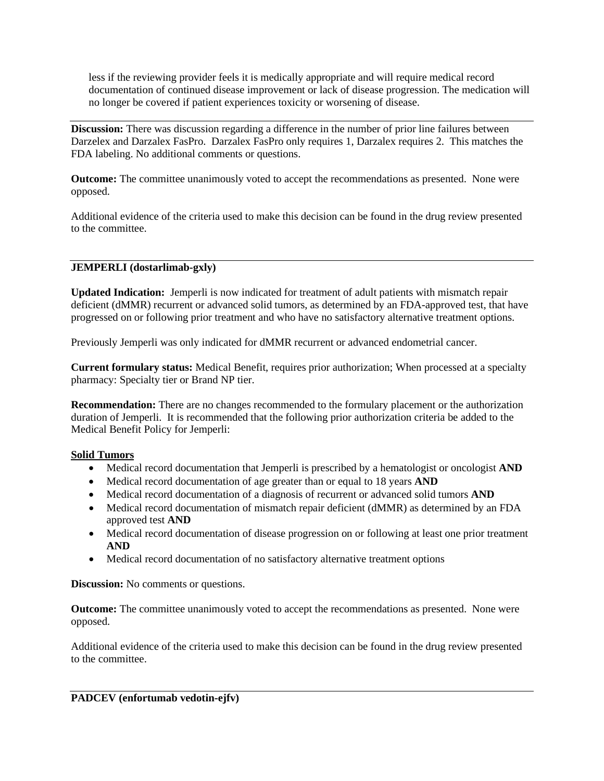less if the reviewing provider feels it is medically appropriate and will require medical record documentation of continued disease improvement or lack of disease progression. The medication will no longer be covered if patient experiences toxicity or worsening of disease.

**Discussion:** There was discussion regarding a difference in the number of prior line failures between Darzelex and Darzalex FasPro. Darzalex FasPro only requires 1, Darzalex requires 2. This matches the FDA labeling. No additional comments or questions.

**Outcome:** The committee unanimously voted to accept the recommendations as presented. None were opposed.

Additional evidence of the criteria used to make this decision can be found in the drug review presented to the committee.

## **JEMPERLI (dostarlimab-gxly)**

**Updated Indication:** Jemperli is now indicated for treatment of adult patients with mismatch repair deficient (dMMR) recurrent or advanced solid tumors, as determined by an FDA-approved test, that have progressed on or following prior treatment and who have no satisfactory alternative treatment options.

Previously Jemperli was only indicated for dMMR recurrent or advanced endometrial cancer.

**Current formulary status:** Medical Benefit, requires prior authorization; When processed at a specialty pharmacy: Specialty tier or Brand NP tier.

**Recommendation:** There are no changes recommended to the formulary placement or the authorization duration of Jemperli. It is recommended that the following prior authorization criteria be added to the Medical Benefit Policy for Jemperli:

# **Solid Tumors**

- Medical record documentation that Jemperli is prescribed by a hematologist or oncologist **AND**
- Medical record documentation of age greater than or equal to 18 years **AND**
- Medical record documentation of a diagnosis of recurrent or advanced solid tumors **AND**
- Medical record documentation of mismatch repair deficient (dMMR) as determined by an FDA approved test **AND**
- Medical record documentation of disease progression on or following at least one prior treatment **AND**
- Medical record documentation of no satisfactory alternative treatment options

**Discussion:** No comments or questions.

**Outcome:** The committee unanimously voted to accept the recommendations as presented. None were opposed.

Additional evidence of the criteria used to make this decision can be found in the drug review presented to the committee.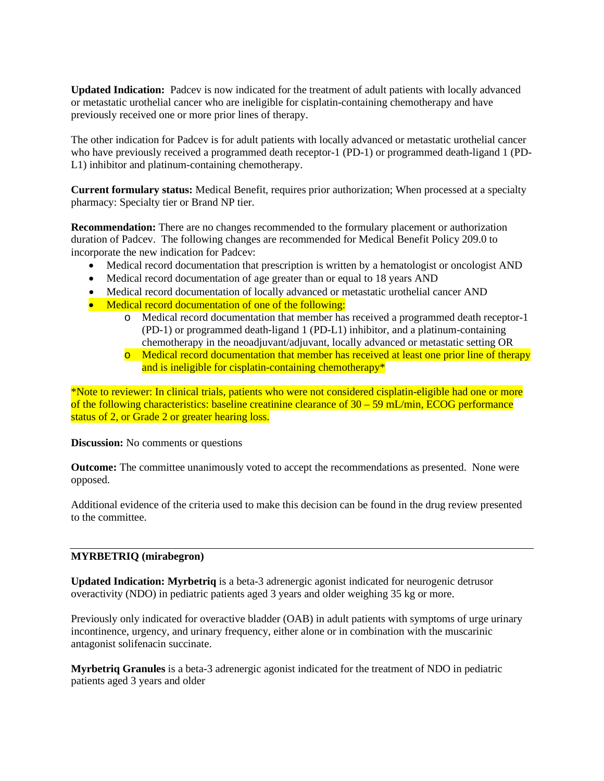**Updated Indication:** Padcev is now indicated for the treatment of adult patients with locally advanced or metastatic urothelial cancer who are ineligible for cisplatin-containing chemotherapy and have previously received one or more prior lines of therapy.

The other indication for Padcev is for adult patients with locally advanced or metastatic urothelial cancer who have previously received a programmed death receptor-1 (PD-1) or programmed death-ligand 1 (PD-L1) inhibitor and platinum-containing chemotherapy.

**Current formulary status:** Medical Benefit, requires prior authorization; When processed at a specialty pharmacy: Specialty tier or Brand NP tier.

**Recommendation:** There are no changes recommended to the formulary placement or authorization duration of Padcev. The following changes are recommended for Medical Benefit Policy 209.0 to incorporate the new indication for Padcev:

- Medical record documentation that prescription is written by a hematologist or oncologist AND
- Medical record documentation of age greater than or equal to 18 years AND
- Medical record documentation of locally advanced or metastatic urothelial cancer AND
- Medical record documentation of one of the following:
	- o Medical record documentation that member has received a programmed death receptor-1 (PD-1) or programmed death-ligand 1 (PD-L1) inhibitor, and a platinum-containing chemotherapy in the neoadjuvant/adjuvant, locally advanced or metastatic setting OR
	- o Medical record documentation that member has received at least one prior line of therapy and is ineligible for cisplatin-containing chemotherapy\*

\*Note to reviewer: In clinical trials, patients who were not considered cisplatin-eligible had one or more of the following characteristics: baseline creatinine clearance of 30 – 59 mL/min, ECOG performance status of 2, or Grade 2 or greater hearing loss.

**Discussion:** No comments or questions

**Outcome:** The committee unanimously voted to accept the recommendations as presented. None were opposed.

Additional evidence of the criteria used to make this decision can be found in the drug review presented to the committee.

### **MYRBETRIQ (mirabegron)**

**Updated Indication: Myrbetriq** is a beta-3 adrenergic agonist indicated for neurogenic detrusor overactivity (NDO) in pediatric patients aged 3 years and older weighing 35 kg or more.

Previously only indicated for overactive bladder (OAB) in adult patients with symptoms of urge urinary incontinence, urgency, and urinary frequency, either alone or in combination with the muscarinic antagonist solifenacin succinate.

**Myrbetriq Granules** is a beta-3 adrenergic agonist indicated for the treatment of NDO in pediatric patients aged 3 years and older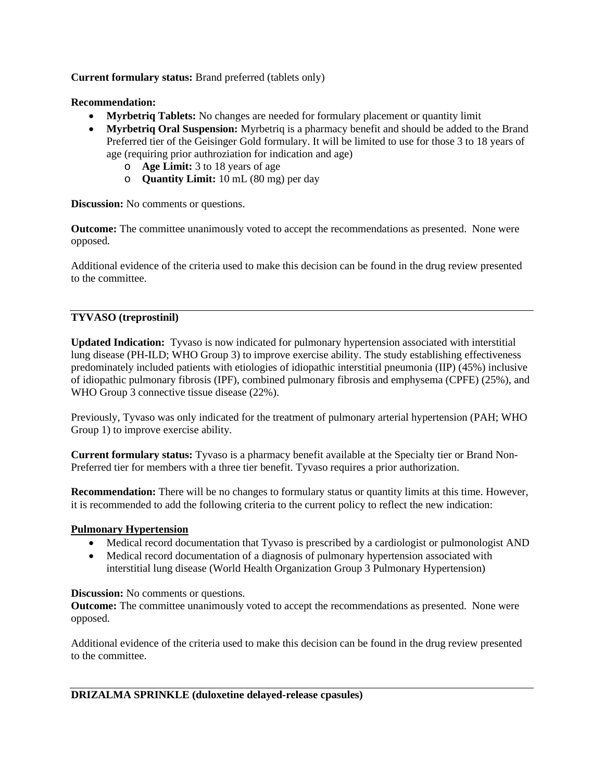**Current formulary status:** Brand preferred (tablets only)

## **Recommendation:**

- **Myrbetriq Tablets:** No changes are needed for formulary placement or quantity limit
- **Myrbetriq Oral Suspension:** Myrbetriq is a pharmacy benefit and should be added to the Brand Preferred tier of the Geisinger Gold formulary. It will be limited to use for those 3 to 18 years of age (requiring prior authroziation for indication and age)
	- o **Age Limit:** 3 to 18 years of age
	- o **Quantity Limit:** 10 mL (80 mg) per day

**Discussion:** No comments or questions.

**Outcome:** The committee unanimously voted to accept the recommendations as presented. None were opposed.

Additional evidence of the criteria used to make this decision can be found in the drug review presented to the committee.

## **TYVASO (treprostinil)**

**Updated Indication:** Tyvaso is now indicated for pulmonary hypertension associated with interstitial lung disease (PH-ILD; WHO Group 3) to improve exercise ability. The study establishing effectiveness predominately included patients with etiologies of idiopathic interstitial pneumonia (IIP) (45%) inclusive of idiopathic pulmonary fibrosis (IPF), combined pulmonary fibrosis and emphysema (CPFE) (25%), and WHO Group 3 connective tissue disease (22%).

Previously, Tyvaso was only indicated for the treatment of pulmonary arterial hypertension (PAH; WHO Group 1) to improve exercise ability.

**Current formulary status:** Tyvaso is a pharmacy benefit available at the Specialty tier or Brand Non-Preferred tier for members with a three tier benefit. Tyvaso requires a prior authorization.

**Recommendation:** There will be no changes to formulary status or quantity limits at this time. However, it is recommended to add the following criteria to the current policy to reflect the new indication:

### **Pulmonary Hypertension**

- Medical record documentation that Tyvaso is prescribed by a cardiologist or pulmonologist AND
- Medical record documentation of a diagnosis of pulmonary hypertension associated with interstitial lung disease (World Health Organization Group 3 Pulmonary Hypertension)

### **Discussion:** No comments or questions.

**Outcome:** The committee unanimously voted to accept the recommendations as presented. None were opposed.

Additional evidence of the criteria used to make this decision can be found in the drug review presented to the committee.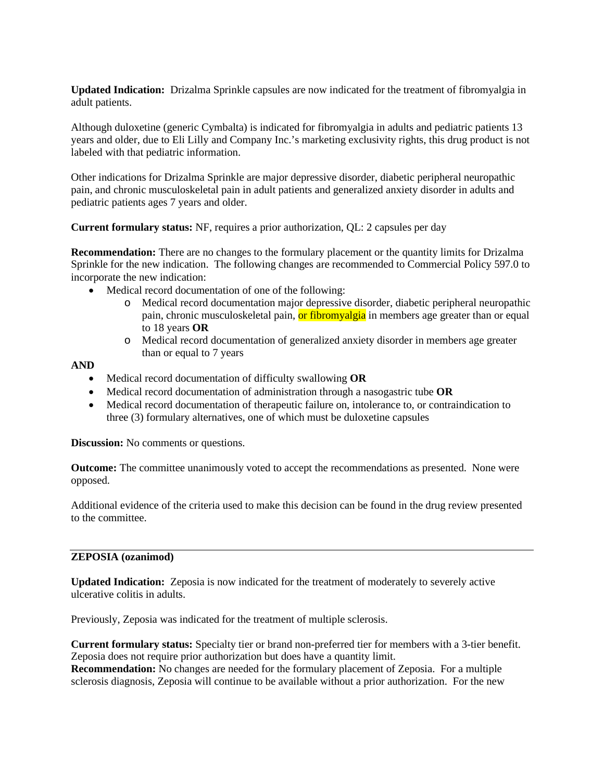**Updated Indication:** Drizalma Sprinkle capsules are now indicated for the treatment of fibromyalgia in adult patients.

Although duloxetine (generic Cymbalta) is indicated for fibromyalgia in adults and pediatric patients 13 years and older, due to Eli Lilly and Company Inc.'s marketing exclusivity rights, this drug product is not labeled with that pediatric information.

Other indications for Drizalma Sprinkle are major depressive disorder, diabetic peripheral neuropathic pain, and chronic musculoskeletal pain in adult patients and generalized anxiety disorder in adults and pediatric patients ages 7 years and older.

**Current formulary status:** NF, requires a prior authorization, QL: 2 capsules per day

**Recommendation:** There are no changes to the formulary placement or the quantity limits for Drizalma Sprinkle for the new indication. The following changes are recommended to Commercial Policy 597.0 to incorporate the new indication:

- Medical record documentation of one of the following:
	- o Medical record documentation major depressive disorder, diabetic peripheral neuropathic pain, chronic musculoskeletal pain, or fibromyalgia in members age greater than or equal to 18 years **OR**
	- o Medical record documentation of generalized anxiety disorder in members age greater than or equal to 7 years

### **AND**

- Medical record documentation of difficulty swallowing **OR**
- Medical record documentation of administration through a nasogastric tube **OR**
- Medical record documentation of therapeutic failure on, intolerance to, or contraindication to three (3) formulary alternatives, one of which must be duloxetine capsules

**Discussion:** No comments or questions.

**Outcome:** The committee unanimously voted to accept the recommendations as presented. None were opposed.

Additional evidence of the criteria used to make this decision can be found in the drug review presented to the committee.

#### **ZEPOSIA (ozanimod)**

**Updated Indication:** Zeposia is now indicated for the treatment of moderately to severely active ulcerative colitis in adults.

Previously, Zeposia was indicated for the treatment of multiple sclerosis.

**Current formulary status:** Specialty tier or brand non-preferred tier for members with a 3-tier benefit. Zeposia does not require prior authorization but does have a quantity limit.

**Recommendation:** No changes are needed for the formulary placement of Zeposia. For a multiple sclerosis diagnosis, Zeposia will continue to be available without a prior authorization. For the new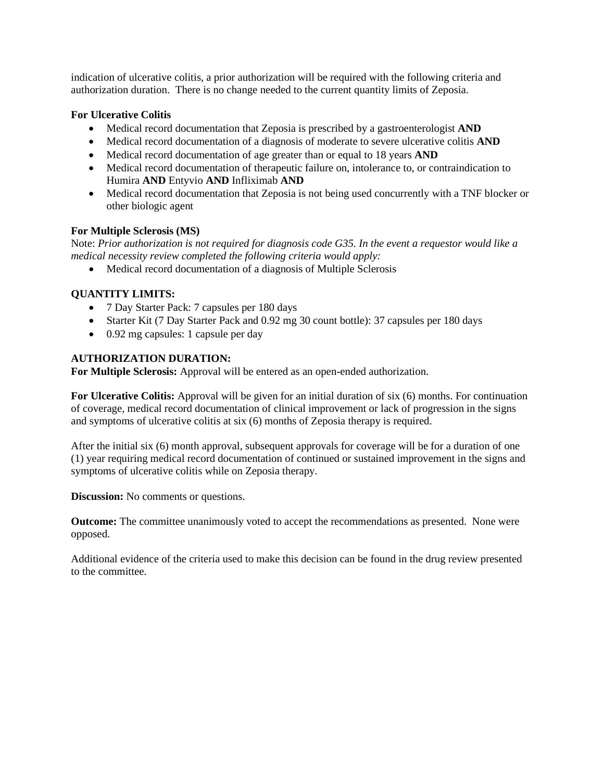indication of ulcerative colitis, a prior authorization will be required with the following criteria and authorization duration. There is no change needed to the current quantity limits of Zeposia.

### **For Ulcerative Colitis**

- Medical record documentation that Zeposia is prescribed by a gastroenterologist **AND**
- Medical record documentation of a diagnosis of moderate to severe ulcerative colitis **AND**
- Medical record documentation of age greater than or equal to 18 years **AND**
- Medical record documentation of therapeutic failure on, intolerance to, or contraindication to Humira **AND** Entyvio **AND** Infliximab **AND**
- Medical record documentation that Zeposia is not being used concurrently with a TNF blocker or other biologic agent

## **For Multiple Sclerosis (MS)**

Note: *Prior authorization is not required for diagnosis code G35. In the event a requestor would like a medical necessity review completed the following criteria would apply:* 

• Medical record documentation of a diagnosis of Multiple Sclerosis

## **QUANTITY LIMITS:**

- 7 Day Starter Pack: 7 capsules per 180 days
- Starter Kit (7 Day Starter Pack and 0.92 mg 30 count bottle): 37 capsules per 180 days
- 0.92 mg capsules: 1 capsule per day

## **AUTHORIZATION DURATION:**

**For Multiple Sclerosis:** Approval will be entered as an open-ended authorization.

**For Ulcerative Colitis:** Approval will be given for an initial duration of six (6) months. For continuation of coverage, medical record documentation of clinical improvement or lack of progression in the signs and symptoms of ulcerative colitis at six (6) months of Zeposia therapy is required.

After the initial six (6) month approval, subsequent approvals for coverage will be for a duration of one (1) year requiring medical record documentation of continued or sustained improvement in the signs and symptoms of ulcerative colitis while on Zeposia therapy.

**Discussion:** No comments or questions.

**Outcome:** The committee unanimously voted to accept the recommendations as presented. None were opposed.

Additional evidence of the criteria used to make this decision can be found in the drug review presented to the committee.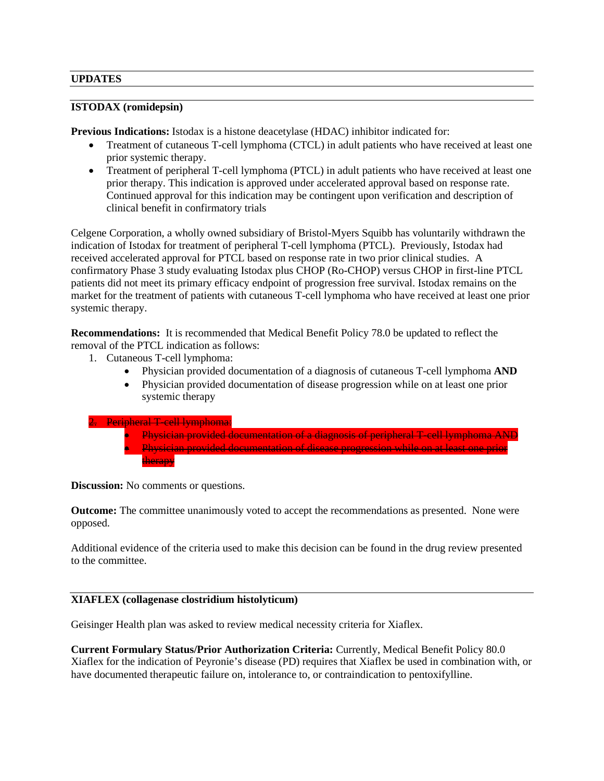### **UPDATES**

### **ISTODAX (romidepsin)**

**Previous Indications:** Istodax is a histone deacetylase (HDAC) inhibitor indicated for:

- Treatment of cutaneous T-cell lymphoma (CTCL) in adult patients who have received at least one prior systemic therapy.
- Treatment of peripheral T-cell lymphoma (PTCL) in adult patients who have received at least one prior therapy. This indication is approved under accelerated approval based on response rate. Continued approval for this indication may be contingent upon verification and description of clinical benefit in confirmatory trials

Celgene Corporation, a wholly owned subsidiary of Bristol-Myers Squibb has voluntarily withdrawn the indication of Istodax for treatment of peripheral T-cell lymphoma (PTCL). Previously, Istodax had received accelerated approval for PTCL based on response rate in two prior clinical studies. A confirmatory Phase 3 study evaluating Istodax plus CHOP (Ro-CHOP) versus CHOP in first-line PTCL patients did not meet its primary efficacy endpoint of progression free survival. Istodax remains on the market for the treatment of patients with cutaneous T-cell lymphoma who have received at least one prior systemic therapy.

**Recommendations:** It is recommended that Medical Benefit Policy 78.0 be updated to reflect the removal of the PTCL indication as follows:

- 1. Cutaneous T-cell lymphoma:
	- Physician provided documentation of a diagnosis of cutaneous T-cell lymphoma **AND**
	- Physician provided documentation of disease progression while on at least one prior systemic therapy
- 2. Peripheral T-cell lymphoma:
	- Physician provided documentation of a diagnosis of peripheral T-cell lymphoma AND • Physician provided documentation of disease progression while on at least one prior therapy

**Discussion:** No comments or questions.

**Outcome:** The committee unanimously voted to accept the recommendations as presented. None were opposed.

Additional evidence of the criteria used to make this decision can be found in the drug review presented to the committee.

### **XIAFLEX (collagenase clostridium histolyticum)**

Geisinger Health plan was asked to review medical necessity criteria for Xiaflex.

**Current Formulary Status/Prior Authorization Criteria:** Currently, Medical Benefit Policy 80.0 Xiaflex for the indication of Peyronie's disease (PD) requires that Xiaflex be used in combination with, or have documented therapeutic failure on, intolerance to, or contraindication to pentoxifylline.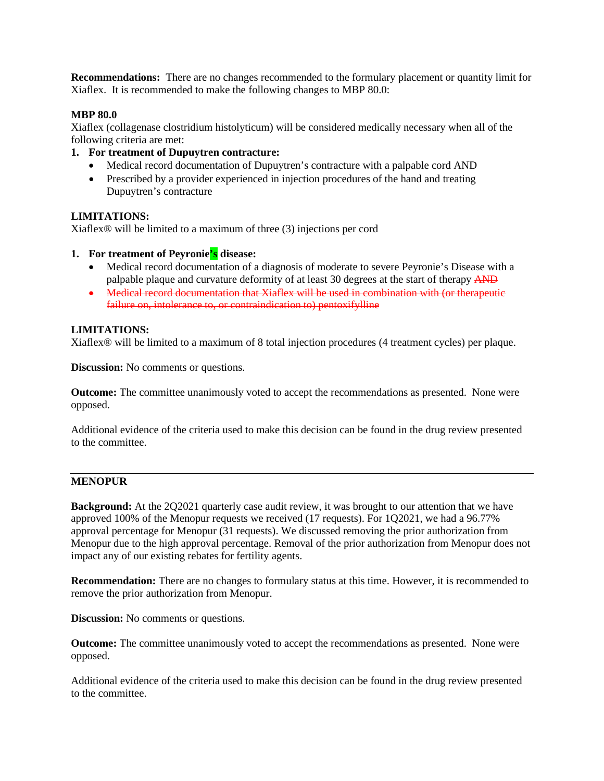**Recommendations:** There are no changes recommended to the formulary placement or quantity limit for Xiaflex. It is recommended to make the following changes to MBP 80.0:

### **MBP 80.0**

Xiaflex (collagenase clostridium histolyticum) will be considered medically necessary when all of the following criteria are met:

### **1. For treatment of Dupuytren contracture:**

- Medical record documentation of Dupuytren's contracture with a palpable cord AND
- Prescribed by a provider experienced in injection procedures of the hand and treating Dupuytren's contracture

### **LIMITATIONS:**

Xiaflex® will be limited to a maximum of three (3) injections per cord

- **1. For treatment of Peyronie's disease:**
	- Medical record documentation of a diagnosis of moderate to severe Peyronie's Disease with a palpable plaque and curvature deformity of at least 30 degrees at the start of therapy AND
	- Medical record documentation that Xiaflex will be used in combination with (or therapeutic failure on, intolerance to, or contraindication to) pentoxifylline

### **LIMITATIONS:**

Xiaflex® will be limited to a maximum of 8 total injection procedures (4 treatment cycles) per plaque.

**Discussion:** No comments or questions.

**Outcome:** The committee unanimously voted to accept the recommendations as presented. None were opposed.

Additional evidence of the criteria used to make this decision can be found in the drug review presented to the committee.

### **MENOPUR**

**Background:** At the 2Q2021 quarterly case audit review, it was brought to our attention that we have approved 100% of the Menopur requests we received (17 requests). For 1Q2021, we had a 96.77% approval percentage for Menopur (31 requests). We discussed removing the prior authorization from Menopur due to the high approval percentage. Removal of the prior authorization from Menopur does not impact any of our existing rebates for fertility agents.

**Recommendation:** There are no changes to formulary status at this time. However, it is recommended to remove the prior authorization from Menopur.

**Discussion:** No comments or questions.

**Outcome:** The committee unanimously voted to accept the recommendations as presented. None were opposed.

Additional evidence of the criteria used to make this decision can be found in the drug review presented to the committee.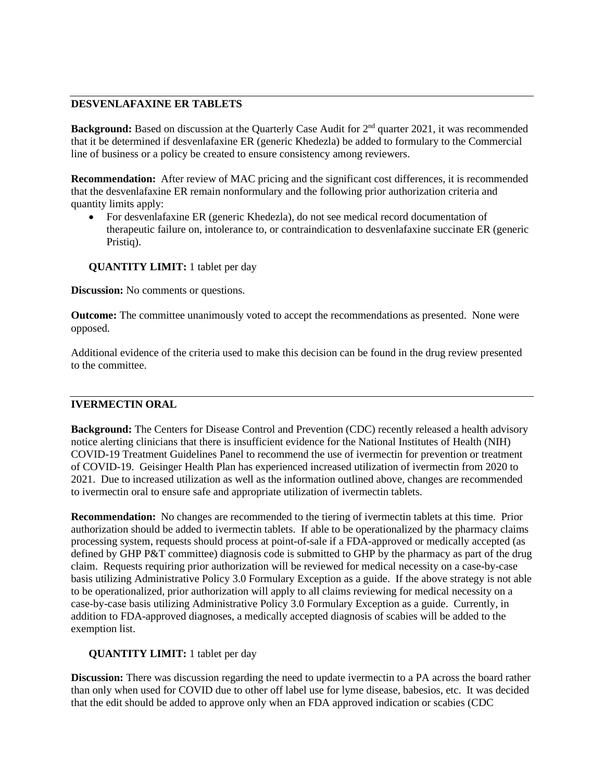### **DESVENLAFAXINE ER TABLETS**

**Background:** Based on discussion at the Quarterly Case Audit for 2<sup>nd</sup> quarter 2021, it was recommended that it be determined if desvenlafaxine ER (generic Khedezla) be added to formulary to the Commercial line of business or a policy be created to ensure consistency among reviewers.

**Recommendation:** After review of MAC pricing and the significant cost differences, it is recommended that the desvenlafaxine ER remain nonformulary and the following prior authorization criteria and quantity limits apply:

• For desvenlafaxine ER (generic Khedezla), do not see medical record documentation of therapeutic failure on, intolerance to, or contraindication to desvenlafaxine succinate ER (generic Pristiq).

**QUANTITY LIMIT:** 1 tablet per day

**Discussion:** No comments or questions.

**Outcome:** The committee unanimously voted to accept the recommendations as presented. None were opposed.

Additional evidence of the criteria used to make this decision can be found in the drug review presented to the committee.

### **IVERMECTIN ORAL**

**Background:** The Centers for Disease Control and Prevention (CDC) recently released a health advisory notice alerting clinicians that there is insufficient evidence for the National Institutes of Health (NIH) COVID-19 Treatment Guidelines Panel to recommend the use of ivermectin for prevention or treatment of COVID-19. Geisinger Health Plan has experienced increased utilization of ivermectin from 2020 to 2021. Due to increased utilization as well as the information outlined above, changes are recommended to ivermectin oral to ensure safe and appropriate utilization of ivermectin tablets.

**Recommendation:** No changes are recommended to the tiering of ivermectin tablets at this time. Prior authorization should be added to ivermectin tablets. If able to be operationalized by the pharmacy claims processing system, requests should process at point-of-sale if a FDA-approved or medically accepted (as defined by GHP P&T committee) diagnosis code is submitted to GHP by the pharmacy as part of the drug claim. Requests requiring prior authorization will be reviewed for medical necessity on a case-by-case basis utilizing Administrative Policy 3.0 Formulary Exception as a guide. If the above strategy is not able to be operationalized, prior authorization will apply to all claims reviewing for medical necessity on a case-by-case basis utilizing Administrative Policy 3.0 Formulary Exception as a guide. Currently, in addition to FDA-approved diagnoses, a medically accepted diagnosis of scabies will be added to the exemption list.

### **QUANTITY LIMIT:** 1 tablet per day

**Discussion:** There was discussion regarding the need to update ivermectin to a PA across the board rather than only when used for COVID due to other off label use for lyme disease, babesios, etc. It was decided that the edit should be added to approve only when an FDA approved indication or scabies (CDC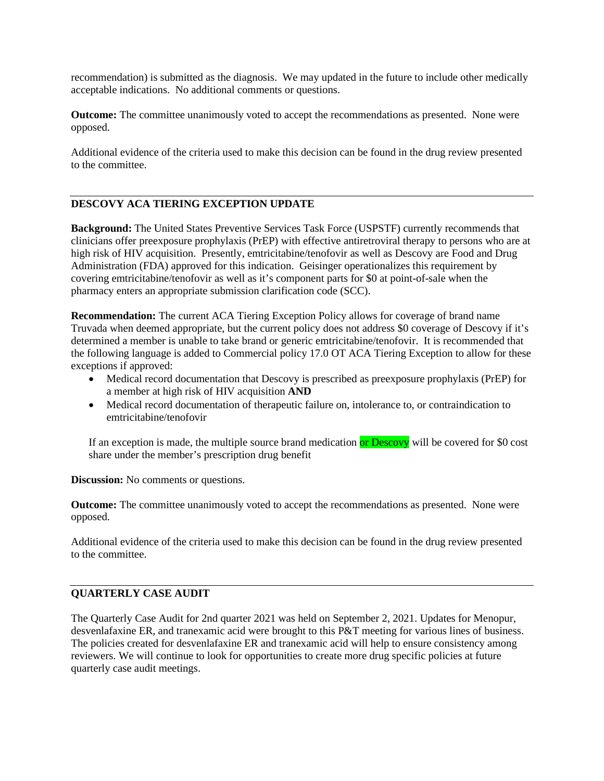recommendation) is submitted as the diagnosis. We may updated in the future to include other medically acceptable indications. No additional comments or questions.

**Outcome:** The committee unanimously voted to accept the recommendations as presented. None were opposed.

Additional evidence of the criteria used to make this decision can be found in the drug review presented to the committee.

## **DESCOVY ACA TIERING EXCEPTION UPDATE**

**Background:** The United States Preventive Services Task Force (USPSTF) currently recommends that clinicians offer preexposure prophylaxis (PrEP) with effective antiretroviral therapy to persons who are at high risk of HIV acquisition. Presently, emtricitabine/tenofovir as well as Descovy are Food and Drug Administration (FDA) approved for this indication. Geisinger operationalizes this requirement by covering emtricitabine/tenofovir as well as it's component parts for \$0 at point-of-sale when the pharmacy enters an appropriate submission clarification code (SCC).

**Recommendation:** The current ACA Tiering Exception Policy allows for coverage of brand name Truvada when deemed appropriate, but the current policy does not address \$0 coverage of Descovy if it's determined a member is unable to take brand or generic emtricitabine/tenofovir. It is recommended that the following language is added to Commercial policy 17.0 OT ACA Tiering Exception to allow for these exceptions if approved:

- Medical record documentation that Descovy is prescribed as preexposure prophylaxis (PrEP) for a member at high risk of HIV acquisition **AND**
- Medical record documentation of therapeutic failure on, intolerance to, or contraindication to emtricitabine/tenofovir

If an exception is made, the multiple source brand medication or Descovy will be covered for \$0 cost share under the member's prescription drug benefit

**Discussion:** No comments or questions.

**Outcome:** The committee unanimously voted to accept the recommendations as presented. None were opposed.

Additional evidence of the criteria used to make this decision can be found in the drug review presented to the committee.

#### **QUARTERLY CASE AUDIT**

The Quarterly Case Audit for 2nd quarter 2021 was held on September 2, 2021. Updates for Menopur, desvenlafaxine ER, and tranexamic acid were brought to this P&T meeting for various lines of business. The policies created for desvenlafaxine ER and tranexamic acid will help to ensure consistency among reviewers. We will continue to look for opportunities to create more drug specific policies at future quarterly case audit meetings.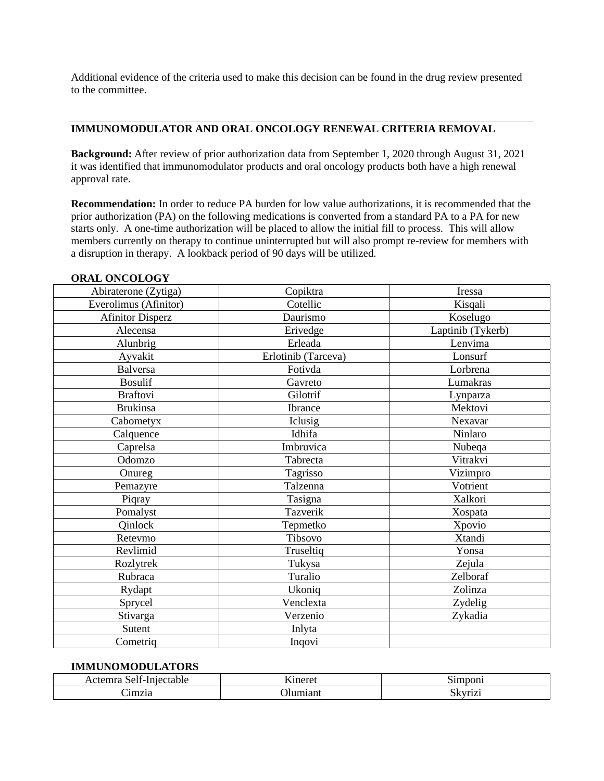Additional evidence of the criteria used to make this decision can be found in the drug review presented to the committee.

### **IMMUNOMODULATOR AND ORAL ONCOLOGY RENEWAL CRITERIA REMOVAL**

**Background:** After review of prior authorization data from September 1, 2020 through August 31, 2021 it was identified that immunomodulator products and oral oncology products both have a high renewal approval rate.

**Recommendation:** In order to reduce PA burden for low value authorizations, it is recommended that the prior authorization (PA) on the following medications is converted from a standard PA to a PA for new starts only. A one-time authorization will be placed to allow the initial fill to process. This will allow members currently on therapy to continue uninterrupted but will also prompt re-review for members with a disruption in therapy. A lookback period of 90 days will be utilized.

| Abiraterone (Zytiga)    | Copiktra            | Iressa            |
|-------------------------|---------------------|-------------------|
| Everolimus (Afinitor)   | Cotellic            | Kisqali           |
| <b>Afinitor Disperz</b> | Daurismo            | Koselugo          |
| Alecensa                | Erivedge            | Laptinib (Tykerb) |
| Alunbrig                | Erleada             | Lenvima           |
| Ayvakit                 | Erlotinib (Tarceva) | Lonsurf           |
| <b>Balversa</b>         | Fotivda             | Lorbrena          |
| <b>Bosulif</b>          | Gavreto             | Lumakras          |
| <b>Braftovi</b>         | Gilotrif            | Lynparza          |
| <b>Brukinsa</b>         | Ibrance             | Mektovi           |
| Cabometyx               | Iclusig             | Nexavar           |
| Calquence               | Idhifa              | Ninlaro           |
| Caprelsa                | Imbruvica           | Nubeqa            |
| Odomzo                  | Tabrecta            | Vitrakvi          |
| Onureg                  | Tagrisso            | Vizimpro          |
| Pemazyre                | Talzenna            | Votrient          |
| Piqray                  | Tasigna             | Xalkori           |
| Pomalyst                | Tazverik            | Xospata           |
| Qinlock                 | Tepmetko            | Xpovio            |
| Retevmo                 | Tibsovo             | Xtandi            |
| Revlimid                | Truseltiq           | Yonsa             |
| Rozlytrek               | Tukysa              | Zejula            |
| Rubraca                 | Turalio             | Zelboraf          |
| Rydapt                  | Ukoniq              | Zolinza           |
| Sprycel                 | Venclexta           | Zydelig           |
| Stivarga                | Verzenio            | Zykadia           |
| Sutent                  | Inlyta              |                   |
| Cometriq                | Inqovi              |                   |

#### **ORAL ONCOLOGY**

#### **IMMUNOMODULATORS**

| --<br>$\sim$<br>$\sim$ $\sim$ $\sim$ $\sim$<br>1mnon <sup>.</sup><br>.<br>20.250<br>$\sim$ 1.<br>tadit<br>$\cdots$ |  |           |
|--------------------------------------------------------------------------------------------------------------------|--|-----------|
| 1mz1a<br>______                                                                                                    |  | אנ<br>$-$ |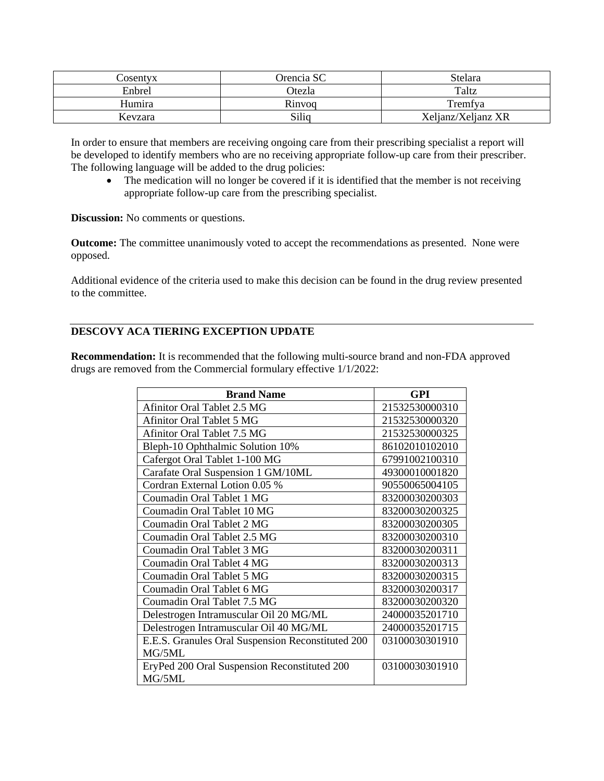| Cosentyx | Orencia SC | Stelara            |
|----------|------------|--------------------|
| Enbrel   | Otezla     | Taltz              |
| Humira   | Rinvoq     | Tremfya            |
| Kevzara  | Siliq      | Xeljanz/Xeljanz XR |

In order to ensure that members are receiving ongoing care from their prescribing specialist a report will be developed to identify members who are no receiving appropriate follow-up care from their prescriber. The following language will be added to the drug policies:

• The medication will no longer be covered if it is identified that the member is not receiving appropriate follow-up care from the prescribing specialist.

**Discussion:** No comments or questions.

**Outcome:** The committee unanimously voted to accept the recommendations as presented. None were opposed.

Additional evidence of the criteria used to make this decision can be found in the drug review presented to the committee.

# **DESCOVY ACA TIERING EXCEPTION UPDATE**

**Recommendation:** It is recommended that the following multi-source brand and non-FDA approved drugs are removed from the Commercial formulary effective 1/1/2022:

| <b>Brand Name</b>                                      | <b>GPI</b>     |
|--------------------------------------------------------|----------------|
| Afinitor Oral Tablet 2.5 MG                            | 21532530000310 |
| <b>Afinitor Oral Tablet 5 MG</b>                       | 21532530000320 |
| <b>Afinitor Oral Tablet 7.5 MG</b>                     | 21532530000325 |
| Bleph-10 Ophthalmic Solution 10%                       | 86102010102010 |
| Cafergot Oral Tablet 1-100 MG                          | 67991002100310 |
| Carafate Oral Suspension 1 GM/10ML                     | 49300010001820 |
| Cordran External Lotion 0.05 %                         | 90550065004105 |
| Coumadin Oral Tablet 1 MG                              | 83200030200303 |
| Coumadin Oral Tablet 10 MG                             | 83200030200325 |
| Coumadin Oral Tablet 2 MG                              | 83200030200305 |
| Coumadin Oral Tablet 2.5 MG                            | 83200030200310 |
| Coumadin Oral Tablet 3 MG                              | 83200030200311 |
| Coumadin Oral Tablet 4 MG                              | 83200030200313 |
| Coumadin Oral Tablet 5 MG                              | 83200030200315 |
| Coumadin Oral Tablet 6 MG                              | 83200030200317 |
| Coumadin Oral Tablet 7.5 MG                            | 83200030200320 |
| Delestrogen Intramuscular Oil 20 MG/ML                 | 24000035201710 |
| Delestrogen Intramuscular Oil 40 MG/ML                 | 24000035201715 |
| E.E.S. Granules Oral Suspension Reconstituted 200      | 03100030301910 |
| MG/5ML                                                 |                |
| EryPed 200 Oral Suspension Reconstituted 200<br>MG/5ML | 03100030301910 |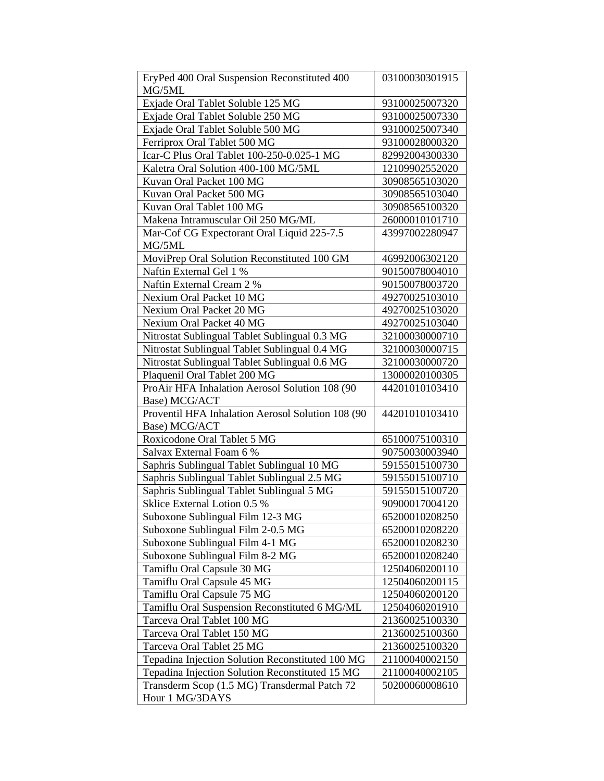| EryPed 400 Oral Suspension Reconstituted 400      | 03100030301915 |
|---------------------------------------------------|----------------|
| MG/5ML                                            |                |
| Exjade Oral Tablet Soluble 125 MG                 | 93100025007320 |
| Exjade Oral Tablet Soluble 250 MG                 | 93100025007330 |
| Exjade Oral Tablet Soluble 500 MG                 | 93100025007340 |
| Ferriprox Oral Tablet 500 MG                      | 93100028000320 |
| Icar-C Plus Oral Tablet 100-250-0.025-1 MG        | 82992004300330 |
| Kaletra Oral Solution 400-100 MG/5ML              | 12109902552020 |
| Kuvan Oral Packet 100 MG                          | 30908565103020 |
| Kuvan Oral Packet 500 MG                          | 30908565103040 |
| Kuvan Oral Tablet 100 MG                          | 30908565100320 |
| Makena Intramuscular Oil 250 MG/ML                | 26000010101710 |
| Mar-Cof CG Expectorant Oral Liquid 225-7.5        | 43997002280947 |
| MG/5ML                                            |                |
| MoviPrep Oral Solution Reconstituted 100 GM       | 46992006302120 |
| Naftin External Gel 1 %                           | 90150078004010 |
| Naftin External Cream 2 %                         | 90150078003720 |
| Nexium Oral Packet 10 MG                          | 49270025103010 |
| Nexium Oral Packet 20 MG                          | 49270025103020 |
| Nexium Oral Packet 40 MG                          | 49270025103040 |
| Nitrostat Sublingual Tablet Sublingual 0.3 MG     | 32100030000710 |
| Nitrostat Sublingual Tablet Sublingual 0.4 MG     | 32100030000715 |
| Nitrostat Sublingual Tablet Sublingual 0.6 MG     | 32100030000720 |
| Plaquenil Oral Tablet 200 MG                      | 13000020100305 |
| ProAir HFA Inhalation Aerosol Solution 108 (90    | 44201010103410 |
| Base) MCG/ACT                                     |                |
| Proventil HFA Inhalation Aerosol Solution 108 (90 | 44201010103410 |
| Base) MCG/ACT                                     |                |
| Roxicodone Oral Tablet 5 MG                       | 65100075100310 |
| Salvax External Foam 6 %                          | 90750030003940 |
| Saphris Sublingual Tablet Sublingual 10 MG        | 59155015100730 |
| Saphris Sublingual Tablet Sublingual 2.5 MG       | 59155015100710 |
| Saphris Sublingual Tablet Sublingual 5 MG         | 59155015100720 |
| Sklice External Lotion 0.5 %                      | 90900017004120 |
| Suboxone Sublingual Film 12-3 MG                  | 65200010208250 |
| Suboxone Sublingual Film 2-0.5 MG                 | 65200010208220 |
| Suboxone Sublingual Film 4-1 MG                   | 65200010208230 |
| Suboxone Sublingual Film 8-2 MG                   | 65200010208240 |
| Tamiflu Oral Capsule 30 MG                        | 12504060200110 |
| Tamiflu Oral Capsule 45 MG                        | 12504060200115 |
| Tamiflu Oral Capsule 75 MG                        | 12504060200120 |
| Tamiflu Oral Suspension Reconstituted 6 MG/ML     | 12504060201910 |
| Tarceva Oral Tablet 100 MG                        | 21360025100330 |
| Tarceva Oral Tablet 150 MG                        | 21360025100360 |
| Tarceva Oral Tablet 25 MG                         | 21360025100320 |
| Tepadina Injection Solution Reconstituted 100 MG  | 21100040002150 |
| Tepadina Injection Solution Reconstituted 15 MG   | 21100040002105 |
| Transderm Scop (1.5 MG) Transdermal Patch 72      | 50200060008610 |
| Hour 1 MG/3DAYS                                   |                |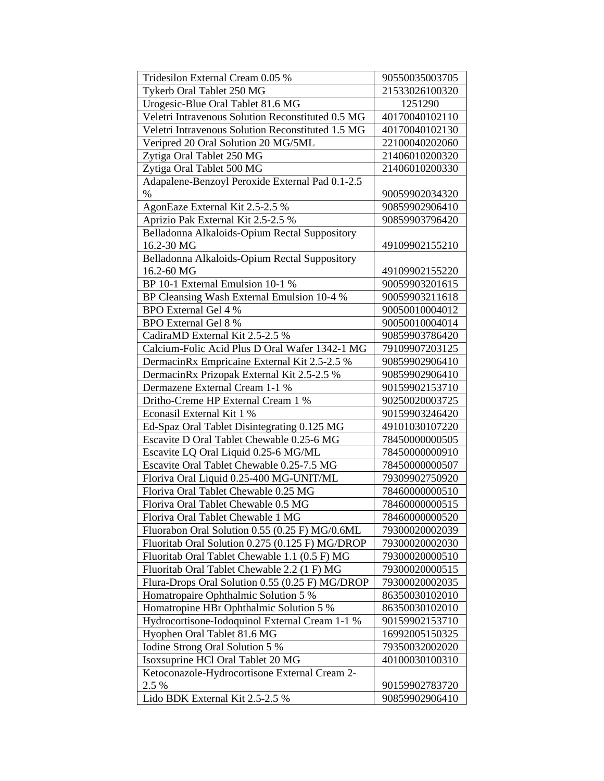| Tridesilon External Cream 0.05 %                  | 90550035003705 |
|---------------------------------------------------|----------------|
| Tykerb Oral Tablet 250 MG                         | 21533026100320 |
| Urogesic-Blue Oral Tablet 81.6 MG                 | 1251290        |
| Veletri Intravenous Solution Reconstituted 0.5 MG | 40170040102110 |
| Veletri Intravenous Solution Reconstituted 1.5 MG | 40170040102130 |
| Veripred 20 Oral Solution 20 MG/5ML               | 22100040202060 |
| Zytiga Oral Tablet 250 MG                         | 21406010200320 |
| Zytiga Oral Tablet 500 MG                         | 21406010200330 |
| Adapalene-Benzoyl Peroxide External Pad 0.1-2.5   |                |
| $\%$                                              | 90059902034320 |
| AgonEaze External Kit 2.5-2.5 %                   | 90859902906410 |
| Aprizio Pak External Kit 2.5-2.5 %                | 90859903796420 |
| Belladonna Alkaloids-Opium Rectal Suppository     |                |
| 16.2-30 MG                                        | 49109902155210 |
| Belladonna Alkaloids-Opium Rectal Suppository     |                |
| 16.2-60 MG                                        | 49109902155220 |
| BP 10-1 External Emulsion 10-1 %                  | 90059903201615 |
| BP Cleansing Wash External Emulsion 10-4 %        | 90059903211618 |
| <b>BPO</b> External Gel 4 %                       | 90050010004012 |
| <b>BPO</b> External Gel 8 %                       | 90050010004014 |
| CadiraMD External Kit 2.5-2.5 %                   | 90859903786420 |
| Calcium-Folic Acid Plus D Oral Wafer 1342-1 MG    | 79109907203125 |
| DermacinRx Empricaine External Kit 2.5-2.5 %      | 90859902906410 |
| DermacinRx Prizopak External Kit 2.5-2.5 %        | 90859902906410 |
| Dermazene External Cream 1-1 %                    | 90159902153710 |
| Dritho-Creme HP External Cream 1 %                | 90250020003725 |
| Econasil External Kit 1 %                         | 90159903246420 |
| Ed-Spaz Oral Tablet Disintegrating 0.125 MG       | 49101030107220 |
| Escavite D Oral Tablet Chewable 0.25-6 MG         | 78450000000505 |
| Escavite LQ Oral Liquid 0.25-6 MG/ML              | 78450000000910 |
| Escavite Oral Tablet Chewable 0.25-7.5 MG         | 78450000000507 |
| Floriva Oral Liquid 0.25-400 MG-UNIT/ML           | 79309902750920 |
| Floriva Oral Tablet Chewable 0.25 MG              | 78460000000510 |
| Floriva Oral Tablet Chewable 0.5 MG               | 78460000000515 |
| Floriva Oral Tablet Chewable 1 MG                 | 78460000000520 |
| Fluorabon Oral Solution 0.55 (0.25 F) MG/0.6ML    | 79300020002039 |
| Fluoritab Oral Solution 0.275 (0.125 F) MG/DROP   | 79300020002030 |
| Fluoritab Oral Tablet Chewable 1.1 (0.5 F) MG     | 79300020000510 |
| Fluoritab Oral Tablet Chewable 2.2 (1 F) MG       | 79300020000515 |
| Flura-Drops Oral Solution 0.55 (0.25 F) MG/DROP   | 79300020002035 |
| Homatropaire Ophthalmic Solution 5 %              | 86350030102010 |
| Homatropine HBr Ophthalmic Solution 5 %           | 86350030102010 |
| Hydrocortisone-Iodoquinol External Cream 1-1 %    | 90159902153710 |
| Hyophen Oral Tablet 81.6 MG                       | 16992005150325 |
| Iodine Strong Oral Solution 5 %                   | 79350032002020 |
| Isoxsuprine HCl Oral Tablet 20 MG                 | 40100030100310 |
| Ketoconazole-Hydrocortisone External Cream 2-     |                |
| 2.5 %                                             | 90159902783720 |
| Lido BDK External Kit 2.5-2.5 %                   | 90859902906410 |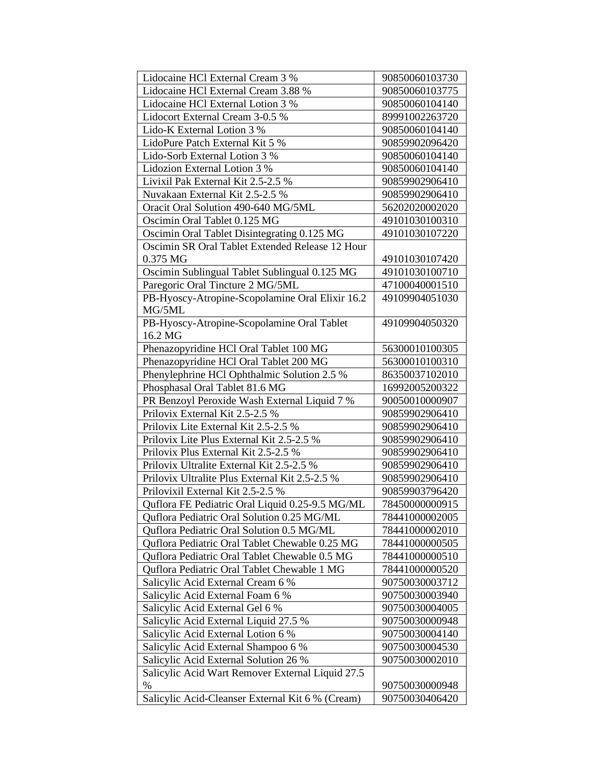| Lidocaine HCl External Cream 3 %                 | 90850060103730 |
|--------------------------------------------------|----------------|
| Lidocaine HCl External Cream 3.88 %              | 90850060103775 |
| Lidocaine HCl External Lotion 3 %                | 90850060104140 |
| Lidocort External Cream 3-0.5 %                  | 89991002263720 |
| Lido-K External Lotion 3 %                       | 90850060104140 |
| LidoPure Patch External Kit 5 %                  | 90859902096420 |
| Lido-Sorb External Lotion 3 %                    | 90850060104140 |
| Lidozion External Lotion 3 %                     | 90850060104140 |
| Livixil Pak External Kit 2.5-2.5 %               | 90859902906410 |
| Nuvakaan External Kit 2.5-2.5 %                  | 90859902906410 |
| Oracit Oral Solution 490-640 MG/5ML              | 56202020002020 |
| Oscimin Oral Tablet 0.125 MG                     | 49101030100310 |
| Oscimin Oral Tablet Disintegrating 0.125 MG      | 49101030107220 |
| Oscimin SR Oral Tablet Extended Release 12 Hour  |                |
| 0.375 MG                                         | 49101030107420 |
| Oscimin Sublingual Tablet Sublingual 0.125 MG    | 49101030100710 |
| Paregoric Oral Tincture 2 MG/5ML                 | 47100040001510 |
| PB-Hyoscy-Atropine-Scopolamine Oral Elixir 16.2  | 49109904051030 |
| MG/5ML                                           |                |
| PB-Hyoscy-Atropine-Scopolamine Oral Tablet       | 49109904050320 |
| 16.2 MG                                          |                |
| Phenazopyridine HCl Oral Tablet 100 MG           | 56300010100305 |
| Phenazopyridine HCl Oral Tablet 200 MG           | 56300010100310 |
| Phenylephrine HCl Ophthalmic Solution 2.5 %      | 86350037102010 |
| Phosphasal Oral Tablet 81.6 MG                   | 16992005200322 |
| PR Benzoyl Peroxide Wash External Liquid 7 %     | 90050010000907 |
| Prilovix External Kit 2.5-2.5 %                  | 90859902906410 |
| Prilovix Lite External Kit 2.5-2.5 %             | 90859902906410 |
| Prilovix Lite Plus External Kit 2.5-2.5 %        | 90859902906410 |
| Prilovix Plus External Kit 2.5-2.5 %             | 90859902906410 |
| Prilovix Ultralite External Kit 2.5-2.5 %        | 90859902906410 |
| Prilovix Ultralite Plus External Kit 2.5-2.5 %   | 90859902906410 |
| Prilovixil External Kit 2.5-2.5 %                | 90859903796420 |
| Quflora FE Pediatric Oral Liquid 0.25-9.5 MG/ML  | 78450000000915 |
| Quflora Pediatric Oral Solution 0.25 MG/ML       | 78441000002005 |
| Quflora Pediatric Oral Solution 0.5 MG/ML        | 78441000002010 |
| Quflora Pediatric Oral Tablet Chewable 0.25 MG   | 78441000000505 |
| Quflora Pediatric Oral Tablet Chewable 0.5 MG    | 78441000000510 |
| Quflora Pediatric Oral Tablet Chewable 1 MG      | 78441000000520 |
| Salicylic Acid External Cream 6 %                | 90750030003712 |
| Salicylic Acid External Foam 6 %                 | 90750030003940 |
| Salicylic Acid External Gel 6 %                  | 90750030004005 |
| Salicylic Acid External Liquid 27.5 %            | 90750030000948 |
| Salicylic Acid External Lotion 6 %               | 90750030004140 |
| Salicylic Acid External Shampoo 6 %              | 90750030004530 |
| Salicylic Acid External Solution 26 %            | 90750030002010 |
| Salicylic Acid Wart Remover External Liquid 27.5 |                |
| $\%$                                             | 90750030000948 |
| Salicylic Acid-Cleanser External Kit 6 % (Cream) | 90750030406420 |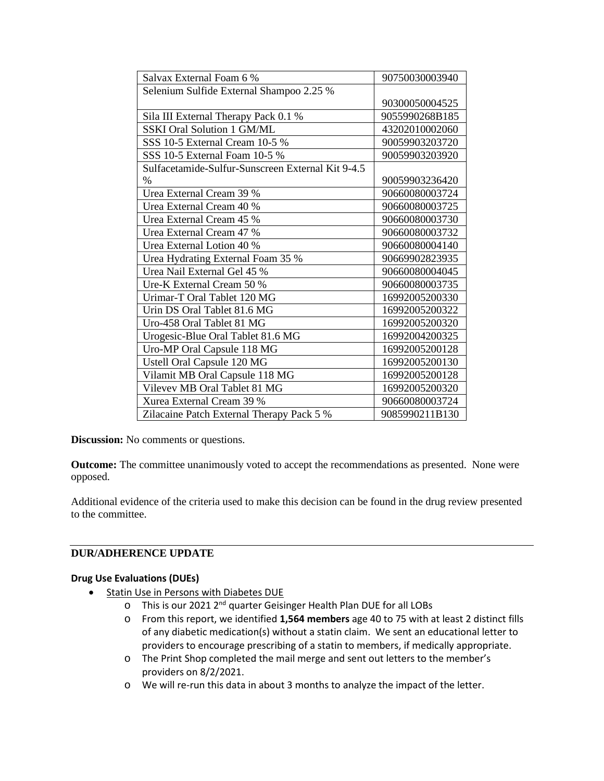| Salvax External Foam 6 %                          | 90750030003940 |
|---------------------------------------------------|----------------|
| Selenium Sulfide External Shampoo 2.25 %          |                |
|                                                   | 90300050004525 |
| Sila III External Therapy Pack 0.1 %              | 9055990268B185 |
| <b>SSKI Oral Solution 1 GM/ML</b>                 | 43202010002060 |
| SSS 10-5 External Cream 10-5 %                    | 90059903203720 |
| SSS 10-5 External Foam 10-5 %                     | 90059903203920 |
| Sulfacetamide-Sulfur-Sunscreen External Kit 9-4.5 |                |
| %                                                 | 90059903236420 |
| Urea External Cream 39 %                          | 90660080003724 |
| Urea External Cream 40 %                          | 90660080003725 |
| Urea External Cream 45 %                          | 90660080003730 |
| Urea External Cream 47 %                          | 90660080003732 |
| Urea External Lotion 40 %                         | 90660080004140 |
| Urea Hydrating External Foam 35 %                 | 90669902823935 |
| Urea Nail External Gel 45 %                       | 90660080004045 |
| Ure-K External Cream 50 %                         | 90660080003735 |
| Urimar-T Oral Tablet 120 MG                       | 16992005200330 |
| Urin DS Oral Tablet 81.6 MG                       | 16992005200322 |
| Uro-458 Oral Tablet 81 MG                         | 16992005200320 |
| Urogesic-Blue Oral Tablet 81.6 MG                 | 16992004200325 |
| Uro-MP Oral Capsule 118 MG                        | 16992005200128 |
| Ustell Oral Capsule 120 MG                        | 16992005200130 |
| Vilamit MB Oral Capsule 118 MG                    | 16992005200128 |
| Vilevev MB Oral Tablet 81 MG                      | 16992005200320 |
| Xurea External Cream 39 %                         | 90660080003724 |
| Zilacaine Patch External Therapy Pack 5 %         | 9085990211B130 |

**Discussion:** No comments or questions.

**Outcome:** The committee unanimously voted to accept the recommendations as presented. None were opposed.

Additional evidence of the criteria used to make this decision can be found in the drug review presented to the committee.

# **DUR/ADHERENCE UPDATE**

### **Drug Use Evaluations (DUEs)**

- Statin Use in Persons with Diabetes DUE
	- o This is our 2021  $2^{nd}$  quarter Geisinger Health Plan DUE for all LOBs o From this report, we identified **1,564 members** age 40 to 75 with a
	- From this report, we identified 1,564 members age 40 to 75 with at least 2 distinct fills of any diabetic medication(s) without a statin claim. We sent an educational letter to providers to encourage prescribing of a statin to members, if medically appropriate.
	- o The Print Shop completed the mail merge and sent out letters to the member's providers on 8/2/2021.
	- o We will re-run this data in about 3 months to analyze the impact of the letter.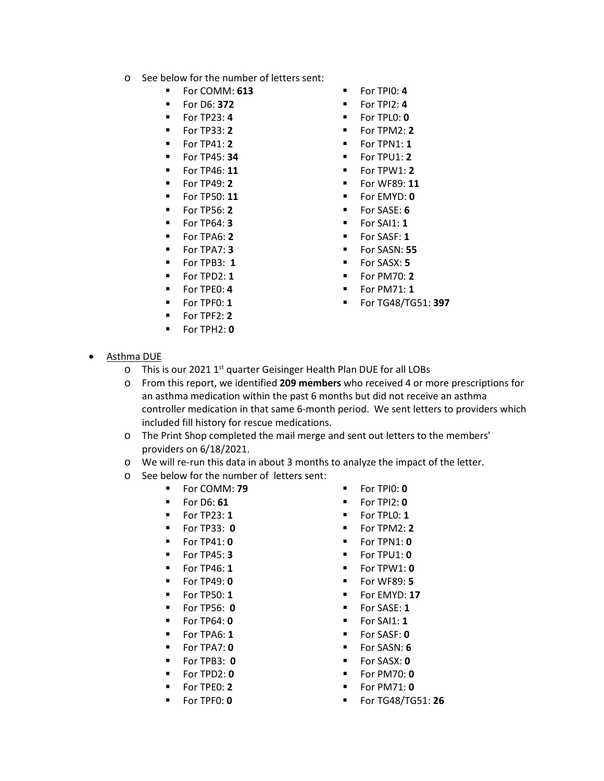- o See below for the number of letters sent:
	- For COMM: **613** For TPI0: **4**
	-
	-
	-
	- For TP41: **2**
	- For TP45: **34**
	- For TP46: **11**
	- For TP49: **2**
	- For TP50: **11**
	- For TP56: **2**
	- For TP64: **3**
	- For TPA6: **2**
	- For TPA7: **3**
	- For TPB3: **1**
	- $\blacksquare$  For TPD2: 1
	- For TPE0: **4**
	- For TPF0: **1**
	- For TPF2: **2**
	- For TPH2: **0**
- 
- For D6: **372** For TPI2: **4**
- For TP23: **4** For TPL0: **0**
- For TP33: **2** For TPM2: **2**
	- $\blacksquare$  For TPN1: **1**
	- $\blacksquare$  For TPU1: 2
	- $\blacksquare$  For TPW1: 2
	- For WF89: **11**
	- For EMYD: **0**
	- For SASE: **6**
	- For SAI1: **1**
	- **For SASF: 1**
	- For SASN: **55**
	- For SASX: **5**
	- For PM70: **2**
	- For PM71: **1**
	- For TG48/TG51: **397**

- Asthma DUE
	- o This is our 2021 1<sup>st</sup> quarter Geisinger Health Plan DUE for all LOBs
	- o From this report, we identified **209 members** who received 4 or more prescriptions for an asthma medication within the past 6 months but did not receive an asthma controller medication in that same 6-month period. We sent letters to providers which included fill history for rescue medications.
	- o The Print Shop completed the mail merge and sent out letters to the members' providers on 6/18/2021.
	- o We will re-run this data in about 3 months to analyze the impact of the letter.
	- o See below for the number of letters sent:
		- For COMM: **79** For TPI0: **0**
		- For D6: **61** For TPI2: **0**
		- For TP23: **1** For TPL0: **1**
		- For TP33: **0** For TPM2: **2**
		- For TP41: **0**
		- For TP45: **3**
		- For TP46: **1**
		- For TP49: **0**
		- For TP50: **1**
		- For TP56: **0**
		- For TP64: **0**
		- For TPA6: **1**
		- For TPA7: **0**
		- For TPB3: **0**
		- For TPD2: **0**
		- For TPE0: **2**
		-
		- For TPF0: **0**
- 
- 
- 
- 
- 
- 
- 
- 
- 
- 
- 
- 
- 
- 
- 
- 
- 
- For TG48/TG51: **26**
- 
- $\blacksquare$  For TPN1: 0
- For TPU1: **0**
- For TPW1: **0**
- For WF89: **5**
- **For EMYD: 17**
- **For SASE: 1**
- $\blacksquare$  For SAI1: **1**
- For SASF: **0**
- For SASN: **6**
- For SASX: **0**
- For PM70: **0**
- 
- 
- For PM71: **0**
-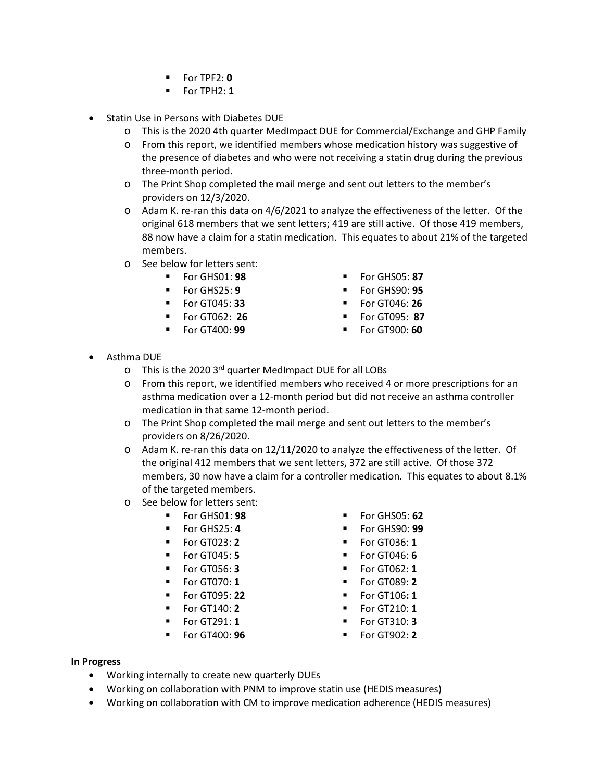- For TPF2: **0**
- $\blacksquare$  For TPH2: 1
- Statin Use in Persons with Diabetes DUE
	- o This is the 2020 4th quarter MedImpact DUE for Commercial/Exchange and GHP Family
	- o From this report, we identified members whose medication history was suggestive of the presence of diabetes and who were not receiving a statin drug during the previous three-month period.
	- o The Print Shop completed the mail merge and sent out letters to the member's providers on 12/3/2020.
	- o Adam K. re-ran this data on 4/6/2021 to analyze the effectiveness of the letter. Of the original 618 members that we sent letters; 419 are still active. Of those 419 members, 88 now have a claim for a statin medication. This equates to about 21% of the targeted members.
	- o See below for letters sent:
		- For GHS01: **98** For GHS05: **87**
		-
		- For GT045: **33** For GT046: **26**
		- For GT062: **26** For GT095: **87**
		-
- 
- For GHS25: **9** For GHS90: **95**
	-
	-
- For GT400: **99** For GT900: **60**
- Asthma DUE
	- o This is the 2020 3<sup>rd</sup> quarter MedImpact DUE for all LOBs
	- o From this report, we identified members who received 4 or more prescriptions for an asthma medication over a 12-month period but did not receive an asthma controller medication in that same 12-month period.
	- o The Print Shop completed the mail merge and sent out letters to the member's providers on 8/26/2020.
	- o Adam K. re-ran this data on 12/11/2020 to analyze the effectiveness of the letter. Of the original 412 members that we sent letters, 372 are still active. Of those 372 members, 30 now have a claim for a controller medication. This equates to about 8.1% of the targeted members.
	- o See below for letters sent:
		- For GHS01: **98** For GHS05: **62**
			-
			-
			-
			-
			-
			-
			- For GT140: **2**
			- For GT291: **1**
			- For GT400: **96**
- 
- For GHS25: **4** For GHS90: **99**
	- For GT023: **2** For GT036: **1**
	- For GT045: **5** For GT046: **6**
	- For GT056: **3** For GT062: **1**
- For GT070: **1** For GT089: **2**
	- For GT095: **22** For GT106**: 1**
		- For GT210: **1**
		- For GT310: **3**
		- For GT902: **2**

#### **In Progress**

- Working internally to create new quarterly DUEs
- Working on collaboration with PNM to improve statin use (HEDIS measures)
- Working on collaboration with CM to improve medication adherence (HEDIS measures)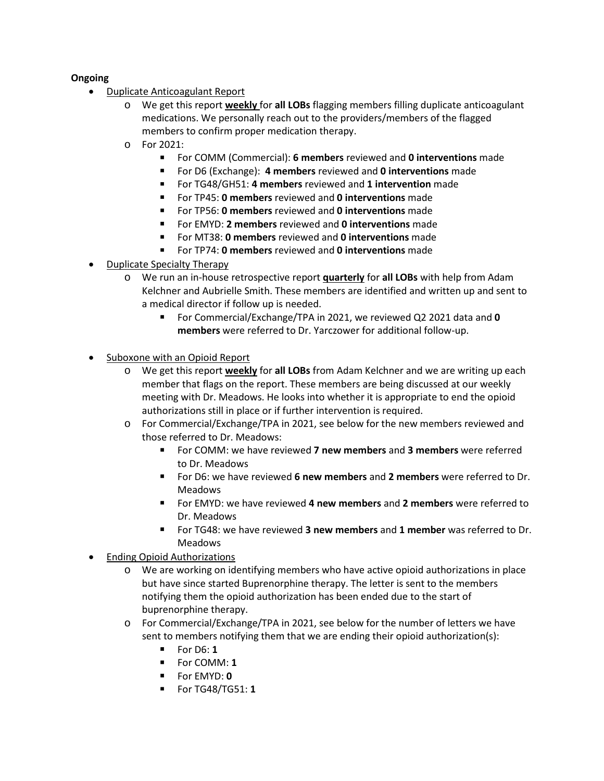## **Ongoing**

- Duplicate Anticoagulant Report
	- o We get this report **weekly** for **all LOBs** flagging members filling duplicate anticoagulant medications. We personally reach out to the providers/members of the flagged members to confirm proper medication therapy.
	- $\circ$  For 2021:
		- For COMM (Commercial): **6 members** reviewed and **0 interventions** made
		- For D6 (Exchange): **4 members** reviewed and **0 interventions** made
		- For TG48/GH51: **4 members** reviewed and **1 intervention** made
		- For TP45: **0 members** reviewed and **0 interventions** made
		- For TP56: **0 members** reviewed and **0 interventions** made
		- For EMYD: **2 members** reviewed and **0 interventions** made
		- For MT38: **0 members** reviewed and **0 interventions** made
		- For TP74: **0 members** reviewed and **0 interventions** made
- Duplicate Specialty Therapy
	- o We run an in-house retrospective report **quarterly** for **all LOBs** with help from Adam Kelchner and Aubrielle Smith. These members are identified and written up and sent to a medical director if follow up is needed.
		- For Commercial/Exchange/TPA in 2021, we reviewed Q2 2021 data and **0 members** were referred to Dr. Yarczower for additional follow-up.
- Suboxone with an Opioid Report
	- o We get this report **weekly** for **all LOBs** from Adam Kelchner and we are writing up each member that flags on the report. These members are being discussed at our weekly meeting with Dr. Meadows. He looks into whether it is appropriate to end the opioid authorizations still in place or if further intervention is required.
	- o For Commercial/Exchange/TPA in 2021, see below for the new members reviewed and those referred to Dr. Meadows:
		- For COMM: we have reviewed **7 new members** and **3 members** were referred to Dr. Meadows
		- For D6: we have reviewed **6 new members** and **2 members** were referred to Dr. Meadows
		- For EMYD: we have reviewed **4 new members** and **2 members** were referred to Dr. Meadows
		- For TG48: we have reviewed **3 new members** and **1 member** was referred to Dr. Meadows
- Ending Opioid Authorizations
	- o We are working on identifying members who have active opioid authorizations in place but have since started Buprenorphine therapy. The letter is sent to the members notifying them the opioid authorization has been ended due to the start of buprenorphine therapy.
	- o For Commercial/Exchange/TPA in 2021, see below for the number of letters we have sent to members notifying them that we are ending their opioid authorization(s):
		- $\blacksquare$  For D6: **1**
		- For COMM: **1**
		- For EMYD: **0**
		- For TG48/TG51: **1**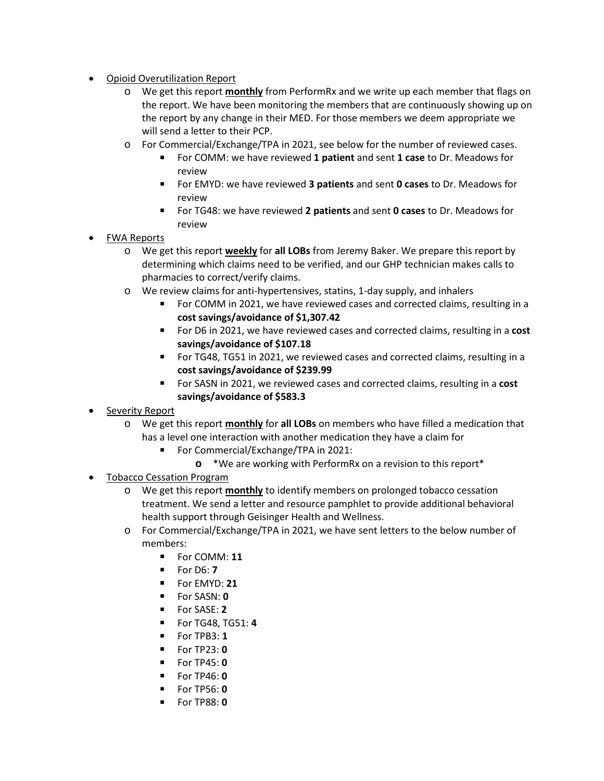- Opioid Overutilization Report
	- o We get this report **monthly** from PerformRx and we write up each member that flags on the report. We have been monitoring the members that are continuously showing up on the report by any change in their MED. For those members we deem appropriate we will send a letter to their PCP.
	- o For Commercial/Exchange/TPA in 2021, see below for the number of reviewed cases.
		- For COMM: we have reviewed **1 patient** and sent **1 case** to Dr. Meadows for review
		- For EMYD: we have reviewed **3 patients** and sent **0 cases** to Dr. Meadows for review
		- For TG48: we have reviewed **2 patients** and sent **0 cases** to Dr. Meadows for review
- FWA Reports
	- o We get this report **weekly** for **all LOBs** from Jeremy Baker. We prepare this report by determining which claims need to be verified, and our GHP technician makes calls to pharmacies to correct/verify claims.
	- o We review claims for anti-hypertensives, statins, 1-day supply, and inhalers
		- For COMM in 2021, we have reviewed cases and corrected claims, resulting in a **cost savings/avoidance of \$1,307.42**
		- For D6 in 2021, we have reviewed cases and corrected claims, resulting in a **cost savings/avoidance of \$107.18**
		- For TG48, TG51 in 2021, we reviewed cases and corrected claims, resulting in a **cost savings/avoidance of \$239.99**
		- For SASN in 2021, we reviewed cases and corrected claims, resulting in a **cost savings/avoidance of \$583.3**
- Severity Report
	- o We get this report **monthly** for **all LOBs** on members who have filled a medication that has a level one interaction with another medication they have a claim for
		- For Commercial/Exchange/TPA in 2021:
			- **o** \*We are working with PerformRx on a revision to this report\*
- **Tobacco Cessation Program** 
	- o We get this report **monthly** to identify members on prolonged tobacco cessation treatment. We send a letter and resource pamphlet to provide additional behavioral health support through Geisinger Health and Wellness.
	- o For Commercial/Exchange/TPA in 2021, we have sent letters to the below number of members:
		- **For COMM: 11**
		- For D6: **7**
		- For EMYD: **21**
		- For SASN: **0**
		- For SASE: **2**
		- For TG48, TG51: **4**
		- For TPB3: **1**
		- For TP23: **0**
		- For TP45: **0**
		- For TP46: **0**
		- For TP56: **0**
		- For TP88: **0**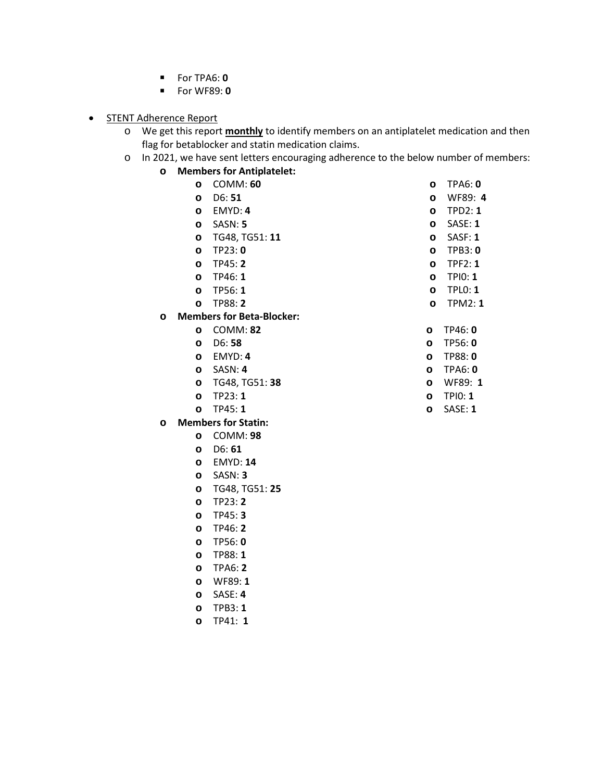- For TPA6: **0**
- For WF89: **0**
- STENT Adherence Report
	- o We get this report **monthly** to identify members on an antiplatelet medication and then flag for betablocker and statin medication claims.
	- o In 2021, we have sent letters encouraging adherence to the below number of members:
		- **o Members for Antiplatelet:**

**o** SASE: **4 o** TPB3: **1 o** TP41: **1** 

|   | $\circ$ | COMM: 60                         |
|---|---------|----------------------------------|
|   | $\circ$ | D6: 51                           |
|   |         | o EMYD: 4                        |
|   |         | o SASN: 5                        |
|   |         | o TG48, TG51: 11                 |
|   | $\circ$ | TP23: 0                          |
|   |         | o TP45:2                         |
|   |         | $O$ TP46: 1                      |
|   |         | o TP56:1                         |
|   |         | o TP88:2                         |
| O |         | <b>Members for Beta-Blocker:</b> |
|   |         | o COMM: 82                       |
|   |         | $O$ D6:58                        |
|   |         | o EMYD: 4                        |
|   |         | o SASN: 4                        |
|   |         | o TG48, TG51: 38                 |
|   |         | o TP23:1                         |
|   | $\circ$ | TP45:1                           |
| O |         | <b>Members for Statin:</b>       |
|   |         | o COMM:98                        |
|   |         | $O$ D6:61                        |
|   |         | o EMYD: 14                       |
|   |         | o SASN: 3                        |
|   |         | o TG48, TG51: 25                 |
|   | $\circ$ | TP23: 2                          |
|   |         | $O$ TP45: 3                      |
|   |         | o TP46: 2                        |
|   |         | o TP56:0                         |
|   |         | o TP88: 1                        |
|   |         | o TPA6: 2                        |
|   | $\circ$ | WF89: 1                          |

**o** TPD2: **1 o** SASE: **1 o** SASF: **1 o** TPB3: **0 o** TPF2: **1 o** TPI0: **1 o** TPL0: **1 o** TPM2: **1 o** TP46: **0**

**o** TPA6: **0 o** WF89: **4**

- **o** TP56: **0 o** TP88: **0 o** TPA6: **0**
- **o** WF89: **1**
- **o** TPI0: **1**
- **o** SASE: **1**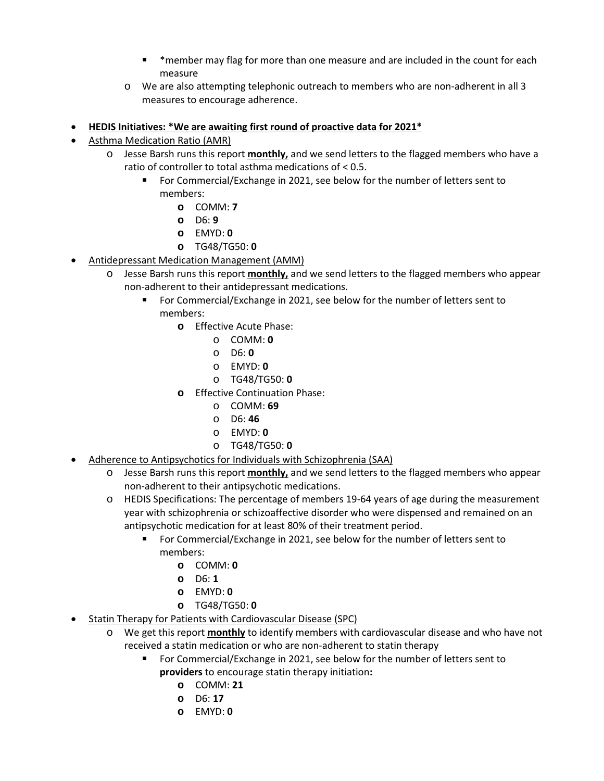- \*member may flag for more than one measure and are included in the count for each measure
- o We are also attempting telephonic outreach to members who are non-adherent in all 3 measures to encourage adherence.
- **HEDIS Initiatives: \*We are awaiting first round of proactive data for 2021\***
- Asthma Medication Ratio (AMR)
	- o Jesse Barsh runs this report **monthly,** and we send letters to the flagged members who have a ratio of controller to total asthma medications of < 0.5.
		- For Commercial/Exchange in 2021, see below for the number of letters sent to members:
			- **o** COMM: **7**
			- **o** D6: **9**
			- **o** EMYD: **0**
			- **o** TG48/TG50: **0**
- Antidepressant Medication Management (AMM)
	- o Jesse Barsh runs this report **monthly,** and we send letters to the flagged members who appear non-adherent to their antidepressant medications.
		- For Commercial/Exchange in 2021, see below for the number of letters sent to members:
			- **o** Effective Acute Phase:
				- o COMM: **0**
				- o D6: **0**
				- o EMYD: **0**
				- o TG48/TG50: **0**
			- **o** Effective Continuation Phase:
				- o COMM: **69**
				- o D6: **46**
				- o EMYD: **0**
				- o TG48/TG50: **0**
- Adherence to Antipsychotics for Individuals with Schizophrenia (SAA)
	- o Jesse Barsh runs this report **monthly,** and we send letters to the flagged members who appear non-adherent to their antipsychotic medications.
	- o HEDIS Specifications: The percentage of members 19-64 years of age during the measurement year with schizophrenia or schizoaffective disorder who were dispensed and remained on an antipsychotic medication for at least 80% of their treatment period.
		- For Commercial/Exchange in 2021, see below for the number of letters sent to members:
			- **o** COMM: **0**
			- **o** D6: **1**
			- **o** EMYD: **0**
			- **o** TG48/TG50: **0**
- Statin Therapy for Patients with Cardiovascular Disease (SPC)
	- o We get this report **monthly** to identify members with cardiovascular disease and who have not received a statin medication or who are non-adherent to statin therapy
		- For Commercial/Exchange in 2021, see below for the number of letters sent to **providers** to encourage statin therapy initiation**:**
			- **o** COMM: **21**
			- **o** D6: **17**
			- **o** EMYD: **0**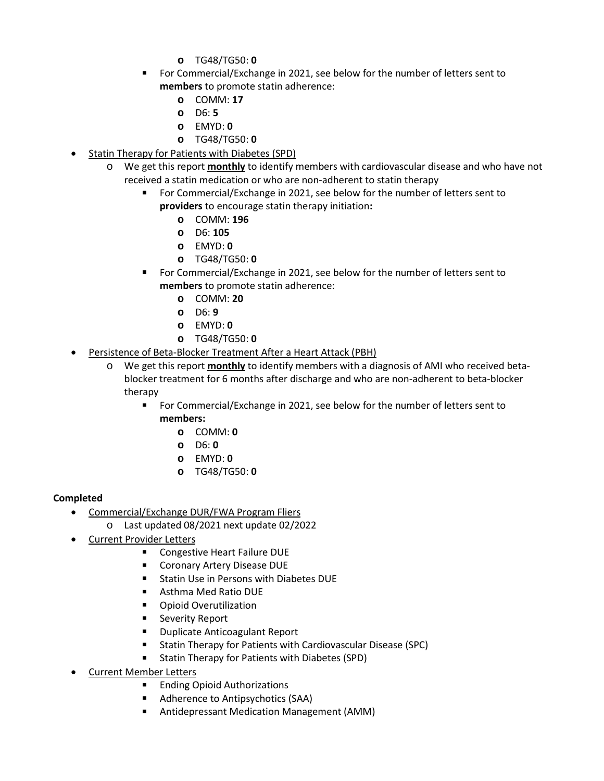- **o** TG48/TG50: **0**
- For Commercial/Exchange in 2021, see below for the number of letters sent to **members** to promote statin adherence:
	- **o** COMM: **17**
	- **o** D6: **5**
	- **o** EMYD: **0**
	- **o** TG48/TG50: **0**
- Statin Therapy for Patients with Diabetes (SPD)
	- o We get this report **monthly** to identify members with cardiovascular disease and who have not received a statin medication or who are non-adherent to statin therapy
		- For Commercial/Exchange in 2021, see below for the number of letters sent to **providers** to encourage statin therapy initiation**:**
			- **o** COMM: **196**
			- **o** D6: **105**
			- **o** EMYD: **0**
			- **o** TG48/TG50: **0**
		- For Commercial/Exchange in 2021, see below for the number of letters sent to **members** to promote statin adherence:
			- **o** COMM: **20**
			- **o** D6: **9**
			- **o** EMYD: **0**
			- **o** TG48/TG50: **0**
- Persistence of Beta-Blocker Treatment After a Heart Attack (PBH)
	- o We get this report **monthly** to identify members with a diagnosis of AMI who received betablocker treatment for 6 months after discharge and who are non-adherent to beta-blocker therapy
		- For Commercial/Exchange in 2021, see below for the number of letters sent to **members:** 
			- **o** COMM: **0**
			- **o** D6: **0**
			- **o** EMYD: **0**
			- **o** TG48/TG50: **0**

# **Completed**

- Commercial/Exchange DUR/FWA Program Fliers
	- o Last updated 08/2021 next update 02/2022
- Current Provider Letters
	- Congestive Heart Failure DUE
	- Coronary Artery Disease DUE
	- Statin Use in Persons with Diabetes DUE
	- Asthma Med Ratio DUE
	- **•** Opioid Overutilization
	- **EXEC** Severity Report
	- **Duplicate Anticoagulant Report**
	- **Statin Therapy for Patients with Cardiovascular Disease (SPC)**
	- **Statin Therapy for Patients with Diabetes (SPD)**
- Current Member Letters
	- Ending Opioid Authorizations
	- **Adherence to Antipsychotics (SAA)**
	- Antidepressant Medication Management (AMM)